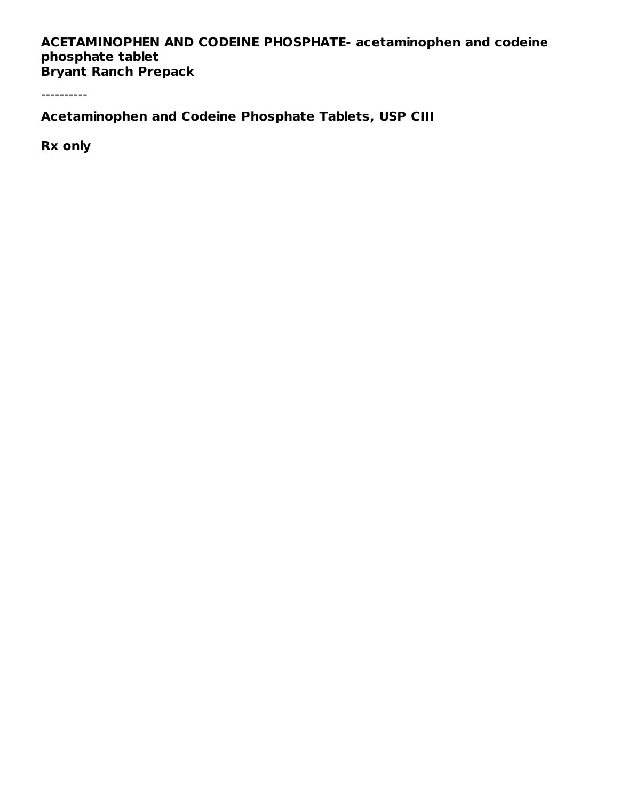## **ACETAMINOPHEN AND CODEINE PHOSPHATE- acetaminophen and codeine phosphate tablet Bryant Ranch Prepack**

----------

**Acetaminophen and Codeine Phosphate Tablets, USP CIII**

**Rx only**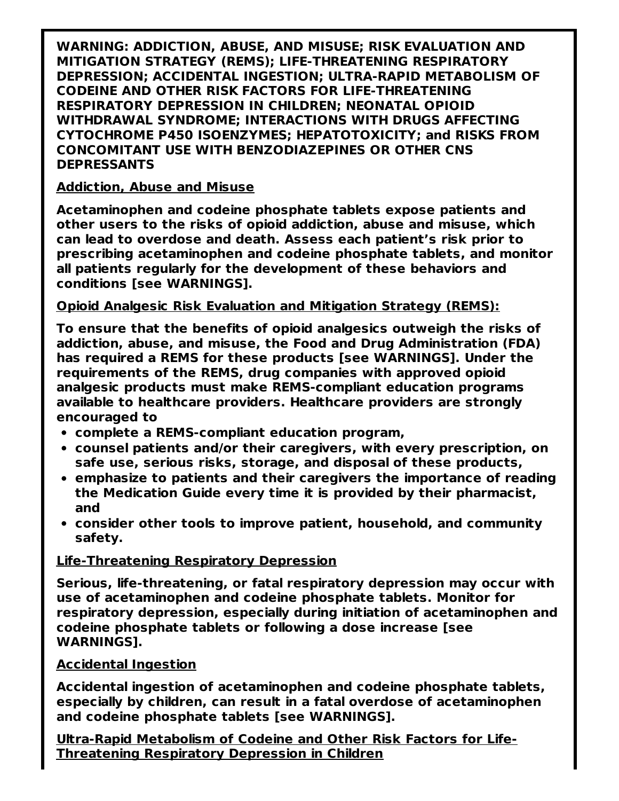**WARNING: ADDICTION, ABUSE, AND MISUSE; RISK EVALUATION AND MITIGATION STRATEGY (REMS); LIFE-THREATENING RESPIRATORY DEPRESSION; ACCIDENTAL INGESTION; ULTRA-RAPID METABOLISM OF CODEINE AND OTHER RISK FACTORS FOR LIFE-THREATENING RESPIRATORY DEPRESSION IN CHILDREN; NEONATAL OPIOID WITHDRAWAL SYNDROME; INTERACTIONS WITH DRUGS AFFECTING CYTOCHROME P450 ISOENZYMES; HEPATOTOXICITY; and RISKS FROM CONCOMITANT USE WITH BENZODIAZEPINES OR OTHER CNS DEPRESSANTS**

#### **Addiction, Abuse and Misuse**

**Acetaminophen and codeine phosphate tablets expose patients and other users to the risks of opioid addiction, abuse and misuse, which can lead to overdose and death. Assess each patient's risk prior to prescribing acetaminophen and codeine phosphate tablets, and monitor all patients regularly for the development of these behaviors and conditions [see WARNINGS].**

#### **Opioid Analgesic Risk Evaluation and Mitigation Strategy (REMS):**

**To ensure that the benefits of opioid analgesics outweigh the risks of addiction, abuse, and misuse, the Food and Drug Administration (FDA) has required a REMS for these products [see WARNINGS]. Under the requirements of the REMS, drug companies with approved opioid analgesic products must make REMS-compliant education programs available to healthcare providers. Healthcare providers are strongly encouraged to**

- **complete a REMS-compliant education program,**
- **counsel patients and/or their caregivers, with every prescription, on safe use, serious risks, storage, and disposal of these products,**
- **emphasize to patients and their caregivers the importance of reading the Medication Guide every time it is provided by their pharmacist, and**
- **consider other tools to improve patient, household, and community safety.**

# **Life-Threatening Respiratory Depression**

**Serious, life-threatening, or fatal respiratory depression may occur with use of acetaminophen and codeine phosphate tablets. Monitor for respiratory depression, especially during initiation of acetaminophen and codeine phosphate tablets or following a dose increase [see WARNINGS].**

#### **Accidental Ingestion**

**Accidental ingestion of acetaminophen and codeine phosphate tablets, especially by children, can result in a fatal overdose of acetaminophen and codeine phosphate tablets [see WARNINGS].**

**Ultra-Rapid Metabolism of Codeine and Other Risk Factors for Life-Threatening Respiratory Depression in Children**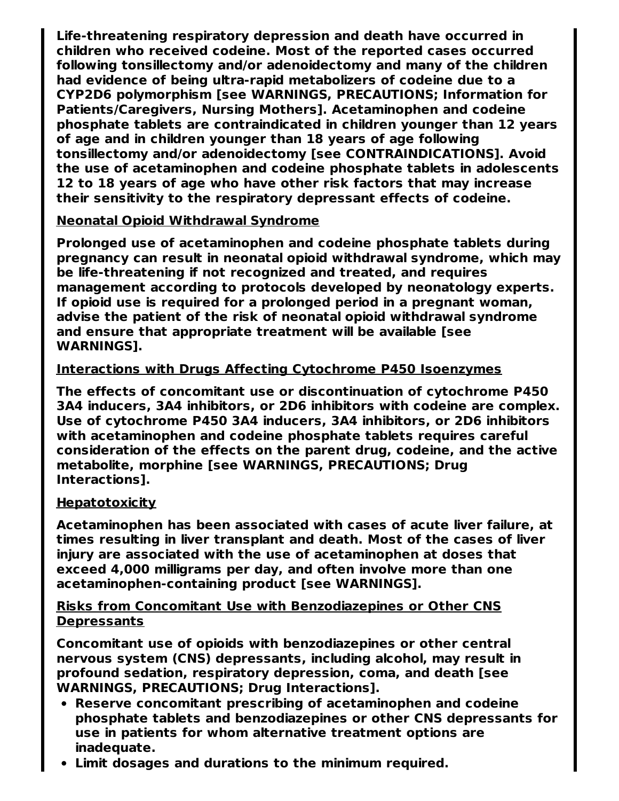**Life-threatening respiratory depression and death have occurred in children who received codeine. Most of the reported cases occurred following tonsillectomy and/or adenoidectomy and many of the children had evidence of being ultra-rapid metabolizers of codeine due to a CYP2D6 polymorphism [see WARNINGS, PRECAUTIONS; Information for Patients/Caregivers, Nursing Mothers]. Acetaminophen and codeine phosphate tablets are contraindicated in children younger than 12 years of age and in children younger than 18 years of age following tonsillectomy and/or adenoidectomy [see CONTRAINDICATIONS]. Avoid the use of acetaminophen and codeine phosphate tablets in adolescents 12 to 18 years of age who have other risk factors that may increase their sensitivity to the respiratory depressant effects of codeine.**

#### **Neonatal Opioid Withdrawal Syndrome**

**Prolonged use of acetaminophen and codeine phosphate tablets during pregnancy can result in neonatal opioid withdrawal syndrome, which may be life-threatening if not recognized and treated, and requires management according to protocols developed by neonatology experts. If opioid use is required for a prolonged period in a pregnant woman, advise the patient of the risk of neonatal opioid withdrawal syndrome and ensure that appropriate treatment will be available [see WARNINGS].**

#### **Interactions with Drugs Affecting Cytochrome P450 Isoenzymes**

**The effects of concomitant use or discontinuation of cytochrome P450 3A4 inducers, 3A4 inhibitors, or 2D6 inhibitors with codeine are complex. Use of cytochrome P450 3A4 inducers, 3A4 inhibitors, or 2D6 inhibitors with acetaminophen and codeine phosphate tablets requires careful consideration of the effects on the parent drug, codeine, and the active metabolite, morphine [see WARNINGS, PRECAUTIONS; Drug Interactions].**

#### **Hepatotoxicity**

**Acetaminophen has been associated with cases of acute liver failure, at times resulting in liver transplant and death. Most of the cases of liver injury are associated with the use of acetaminophen at doses that exceed 4,000 milligrams per day, and often involve more than one acetaminophen-containing product [see WARNINGS].**

#### **Risks from Concomitant Use with Benzodiazepines or Other CNS Depressants**

**Concomitant use of opioids with benzodiazepines or other central nervous system (CNS) depressants, including alcohol, may result in profound sedation, respiratory depression, coma, and death [see WARNINGS, PRECAUTIONS; Drug Interactions].**

- **Reserve concomitant prescribing of acetaminophen and codeine phosphate tablets and benzodiazepines or other CNS depressants for use in patients for whom alternative treatment options are inadequate.**
- **Limit dosages and durations to the minimum required.**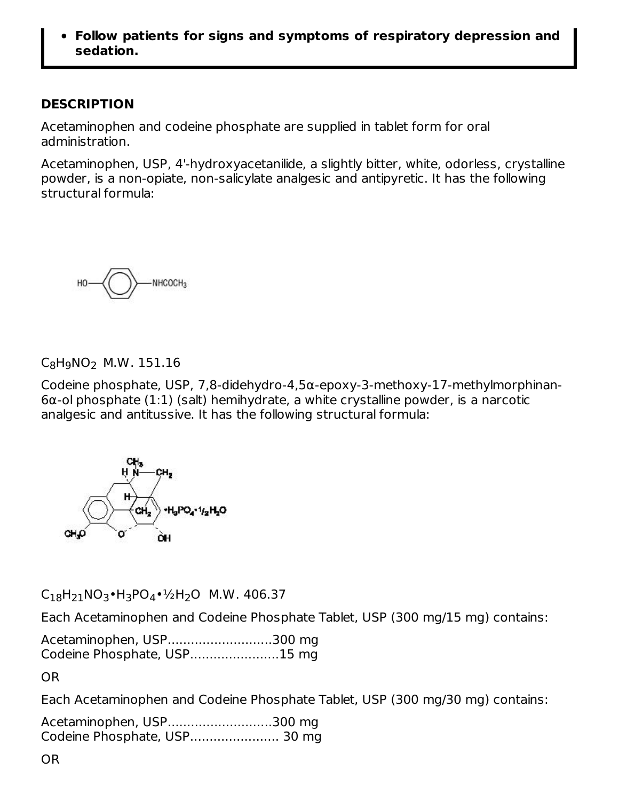**Follow patients for signs and symptoms of respiratory depression and sedation.**

# **DESCRIPTION**

Acetaminophen and codeine phosphate are supplied in tablet form for oral administration.

Acetaminophen, USP, 4'-hydroxyacetanilide, a slightly bitter, white, odorless, crystalline powder, is a non-opiate, non-salicylate analgesic and antipyretic. It has the following structural formula:

NHCOCH<sub>3</sub>

 $\rm{C_8H_9NO_2}$  M.W.  $151.16$ 

Codeine phosphate, USP, 7,8-didehydro-4,5α-epoxy-3-methoxy-17-methylmorphinan-6α-ol phosphate (1:1) (salt) hemihydrate, a white crystalline powder, is a narcotic analgesic and antitussive. It has the following structural formula:



 $C_{18}H_{21}NO_3\bullet H_3PO_4\bullet\frac{1}{2}H_2O$  M.W. 406.37

Each Acetaminophen and Codeine Phosphate Tablet, USP (300 mg/15 mg) contains:

Acetaminophen, USP...........................300 mg Codeine Phosphate, USP.......................15 mg

OR

Each Acetaminophen and Codeine Phosphate Tablet, USP (300 mg/30 mg) contains:

Acetaminophen, USP...........................300 mg Codeine Phosphate, USP....................... 30 mg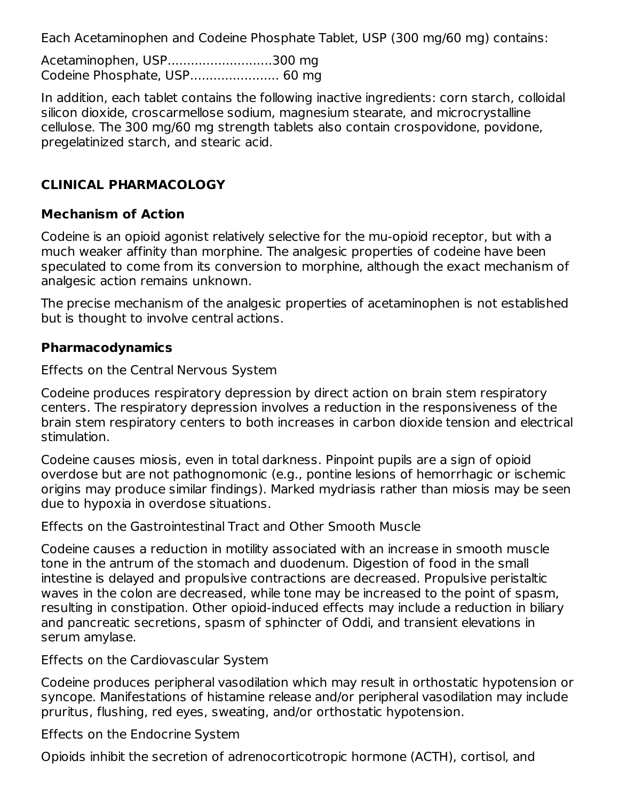Each Acetaminophen and Codeine Phosphate Tablet, USP (300 mg/60 mg) contains:

Acetaminophen, USP...........................300 mg Codeine Phosphate, USP....................... 60 mg

In addition, each tablet contains the following inactive ingredients: corn starch, colloidal silicon dioxide, croscarmellose sodium, magnesium stearate, and microcrystalline cellulose. The 300 mg/60 mg strength tablets also contain crospovidone, povidone, pregelatinized starch, and stearic acid.

# **CLINICAL PHARMACOLOGY**

## **Mechanism of Action**

Codeine is an opioid agonist relatively selective for the mu-opioid receptor, but with a much weaker affinity than morphine. The analgesic properties of codeine have been speculated to come from its conversion to morphine, although the exact mechanism of analgesic action remains unknown.

The precise mechanism of the analgesic properties of acetaminophen is not established but is thought to involve central actions.

## **Pharmacodynamics**

Effects on the Central Nervous System

Codeine produces respiratory depression by direct action on brain stem respiratory centers. The respiratory depression involves a reduction in the responsiveness of the brain stem respiratory centers to both increases in carbon dioxide tension and electrical stimulation.

Codeine causes miosis, even in total darkness. Pinpoint pupils are a sign of opioid overdose but are not pathognomonic (e.g., pontine lesions of hemorrhagic or ischemic origins may produce similar findings). Marked mydriasis rather than miosis may be seen due to hypoxia in overdose situations.

Effects on the Gastrointestinal Tract and Other Smooth Muscle

Codeine causes a reduction in motility associated with an increase in smooth muscle tone in the antrum of the stomach and duodenum. Digestion of food in the small intestine is delayed and propulsive contractions are decreased. Propulsive peristaltic waves in the colon are decreased, while tone may be increased to the point of spasm, resulting in constipation. Other opioid-induced effects may include a reduction in biliary and pancreatic secretions, spasm of sphincter of Oddi, and transient elevations in serum amylase.

Effects on the Cardiovascular System

Codeine produces peripheral vasodilation which may result in orthostatic hypotension or syncope. Manifestations of histamine release and/or peripheral vasodilation may include pruritus, flushing, red eyes, sweating, and/or orthostatic hypotension.

Effects on the Endocrine System

Opioids inhibit the secretion of adrenocorticotropic hormone (ACTH), cortisol, and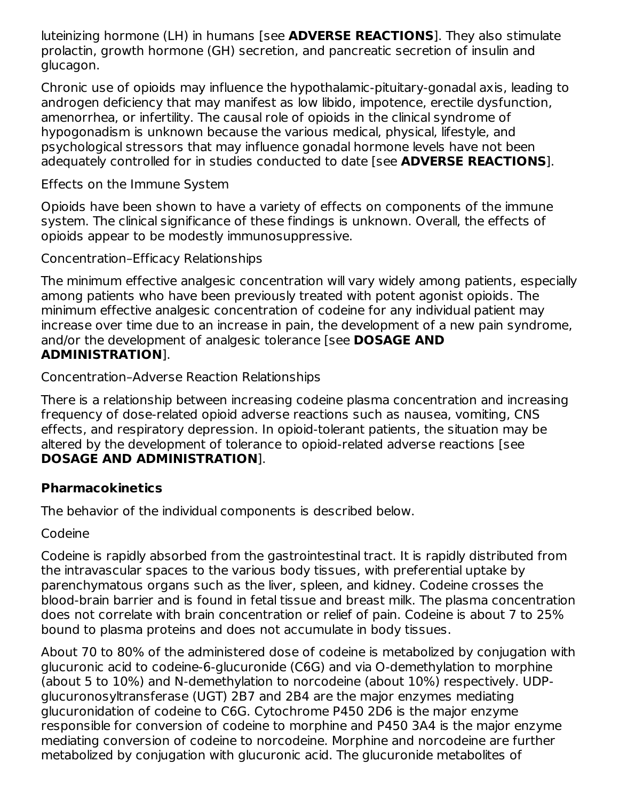luteinizing hormone (LH) in humans [see **ADVERSE REACTIONS**]. They also stimulate prolactin, growth hormone (GH) secretion, and pancreatic secretion of insulin and glucagon.

Chronic use of opioids may influence the hypothalamic-pituitary-gonadal axis, leading to androgen deficiency that may manifest as low libido, impotence, erectile dysfunction, amenorrhea, or infertility. The causal role of opioids in the clinical syndrome of hypogonadism is unknown because the various medical, physical, lifestyle, and psychological stressors that may influence gonadal hormone levels have not been adequately controlled for in studies conducted to date [see **ADVERSE REACTIONS**].

Effects on the Immune System

Opioids have been shown to have a variety of effects on components of the immune system. The clinical significance of these findings is unknown. Overall, the effects of opioids appear to be modestly immunosuppressive.

Concentration–Efficacy Relationships

The minimum effective analgesic concentration will vary widely among patients, especially among patients who have been previously treated with potent agonist opioids. The minimum effective analgesic concentration of codeine for any individual patient may increase over time due to an increase in pain, the development of a new pain syndrome, and/or the development of analgesic tolerance [see **DOSAGE AND ADMINISTRATION**].

Concentration–Adverse Reaction Relationships

There is a relationship between increasing codeine plasma concentration and increasing frequency of dose-related opioid adverse reactions such as nausea, vomiting, CNS effects, and respiratory depression. In opioid-tolerant patients, the situation may be altered by the development of tolerance to opioid-related adverse reactions [see **DOSAGE AND ADMINISTRATION**].

# **Pharmacokinetics**

The behavior of the individual components is described below.

Codeine

Codeine is rapidly absorbed from the gastrointestinal tract. It is rapidly distributed from the intravascular spaces to the various body tissues, with preferential uptake by parenchymatous organs such as the liver, spleen, and kidney. Codeine crosses the blood-brain barrier and is found in fetal tissue and breast milk. The plasma concentration does not correlate with brain concentration or relief of pain. Codeine is about 7 to 25% bound to plasma proteins and does not accumulate in body tissues.

About 70 to 80% of the administered dose of codeine is metabolized by conjugation with glucuronic acid to codeine-6-glucuronide (C6G) and via O-demethylation to morphine (about 5 to 10%) and N-demethylation to norcodeine (about 10%) respectively. UDPglucuronosyltransferase (UGT) 2B7 and 2B4 are the major enzymes mediating glucuronidation of codeine to C6G. Cytochrome P450 2D6 is the major enzyme responsible for conversion of codeine to morphine and P450 3A4 is the major enzyme mediating conversion of codeine to norcodeine. Morphine and norcodeine are further metabolized by conjugation with glucuronic acid. The glucuronide metabolites of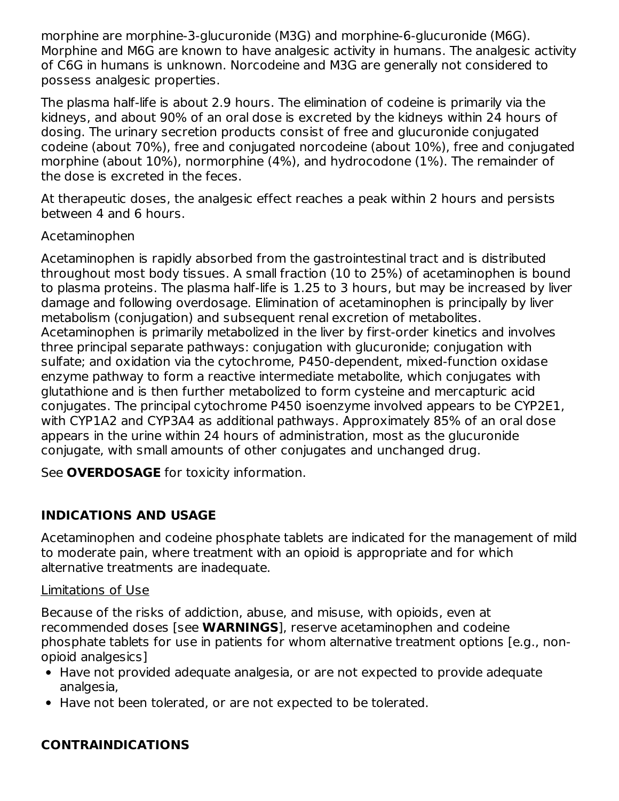morphine are morphine-3-glucuronide (M3G) and morphine-6-glucuronide (M6G). Morphine and M6G are known to have analgesic activity in humans. The analgesic activity of C6G in humans is unknown. Norcodeine and M3G are generally not considered to possess analgesic properties.

The plasma half-life is about 2.9 hours. The elimination of codeine is primarily via the kidneys, and about 90% of an oral dose is excreted by the kidneys within 24 hours of dosing. The urinary secretion products consist of free and glucuronide conjugated codeine (about 70%), free and conjugated norcodeine (about 10%), free and conjugated morphine (about 10%), normorphine (4%), and hydrocodone (1%). The remainder of the dose is excreted in the feces.

At therapeutic doses, the analgesic effect reaches a peak within 2 hours and persists between 4 and 6 hours.

#### Acetaminophen

Acetaminophen is rapidly absorbed from the gastrointestinal tract and is distributed throughout most body tissues. A small fraction (10 to 25%) of acetaminophen is bound to plasma proteins. The plasma half-life is 1.25 to 3 hours, but may be increased by liver damage and following overdosage. Elimination of acetaminophen is principally by liver metabolism (conjugation) and subsequent renal excretion of metabolites. Acetaminophen is primarily metabolized in the liver by first-order kinetics and involves three principal separate pathways: conjugation with glucuronide; conjugation with sulfate; and oxidation via the cytochrome, P450-dependent, mixed-function oxidase enzyme pathway to form a reactive intermediate metabolite, which conjugates with glutathione and is then further metabolized to form cysteine and mercapturic acid conjugates. The principal cytochrome P450 isoenzyme involved appears to be CYP2E1, with CYP1A2 and CYP3A4 as additional pathways. Approximately 85% of an oral dose appears in the urine within 24 hours of administration, most as the glucuronide conjugate, with small amounts of other conjugates and unchanged drug.

See **OVERDOSAGE** for toxicity information.

# **INDICATIONS AND USAGE**

Acetaminophen and codeine phosphate tablets are indicated for the management of mild to moderate pain, where treatment with an opioid is appropriate and for which alternative treatments are inadequate.

#### Limitations of Use

Because of the risks of addiction, abuse, and misuse, with opioids, even at recommended doses [see **WARNINGS**], reserve acetaminophen and codeine phosphate tablets for use in patients for whom alternative treatment options [e.g., nonopioid analgesics]

- Have not provided adequate analgesia, or are not expected to provide adequate analgesia,
- Have not been tolerated, or are not expected to be tolerated.

# **CONTRAINDICATIONS**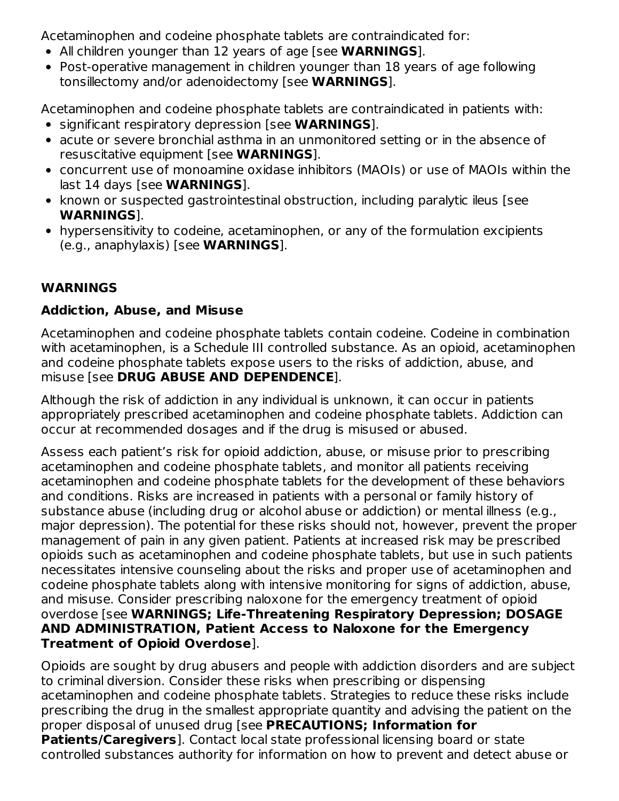Acetaminophen and codeine phosphate tablets are contraindicated for:

- All children younger than 12 years of age [see **WARNINGS**].
- Post-operative management in children younger than 18 years of age following tonsillectomy and/or adenoidectomy [see **WARNINGS**].

Acetaminophen and codeine phosphate tablets are contraindicated in patients with:

- significant respiratory depression [see **WARNINGS**].
- acute or severe bronchial asthma in an unmonitored setting or in the absence of resuscitative equipment [see **WARNINGS**].
- concurrent use of monoamine oxidase inhibitors (MAOIs) or use of MAOIs within the last 14 days [see **WARNINGS**].
- known or suspected gastrointestinal obstruction, including paralytic ileus [see **WARNINGS**].
- hypersensitivity to codeine, acetaminophen, or any of the formulation excipients (e.g., anaphylaxis) [see **WARNINGS**].

# **WARNINGS**

# **Addiction, Abuse, and Misuse**

Acetaminophen and codeine phosphate tablets contain codeine. Codeine in combination with acetaminophen, is a Schedule III controlled substance. As an opioid, acetaminophen and codeine phosphate tablets expose users to the risks of addiction, abuse, and misuse [see **DRUG ABUSE AND DEPENDENCE**].

Although the risk of addiction in any individual is unknown, it can occur in patients appropriately prescribed acetaminophen and codeine phosphate tablets. Addiction can occur at recommended dosages and if the drug is misused or abused.

Assess each patient's risk for opioid addiction, abuse, or misuse prior to prescribing acetaminophen and codeine phosphate tablets, and monitor all patients receiving acetaminophen and codeine phosphate tablets for the development of these behaviors and conditions. Risks are increased in patients with a personal or family history of substance abuse (including drug or alcohol abuse or addiction) or mental illness (e.g., major depression). The potential for these risks should not, however, prevent the proper management of pain in any given patient. Patients at increased risk may be prescribed opioids such as acetaminophen and codeine phosphate tablets, but use in such patients necessitates intensive counseling about the risks and proper use of acetaminophen and codeine phosphate tablets along with intensive monitoring for signs of addiction, abuse, and misuse. Consider prescribing naloxone for the emergency treatment of opioid overdose [see **WARNINGS; Life-Threatening Respiratory Depression; DOSAGE AND ADMINISTRATION, Patient Access to Naloxone for the Emergency Treatment of Opioid Overdose**].

Opioids are sought by drug abusers and people with addiction disorders and are subject to criminal diversion. Consider these risks when prescribing or dispensing acetaminophen and codeine phosphate tablets. Strategies to reduce these risks include prescribing the drug in the smallest appropriate quantity and advising the patient on the proper disposal of unused drug [see **PRECAUTIONS; Information for Patients/Caregivers**]. Contact local state professional licensing board or state controlled substances authority for information on how to prevent and detect abuse or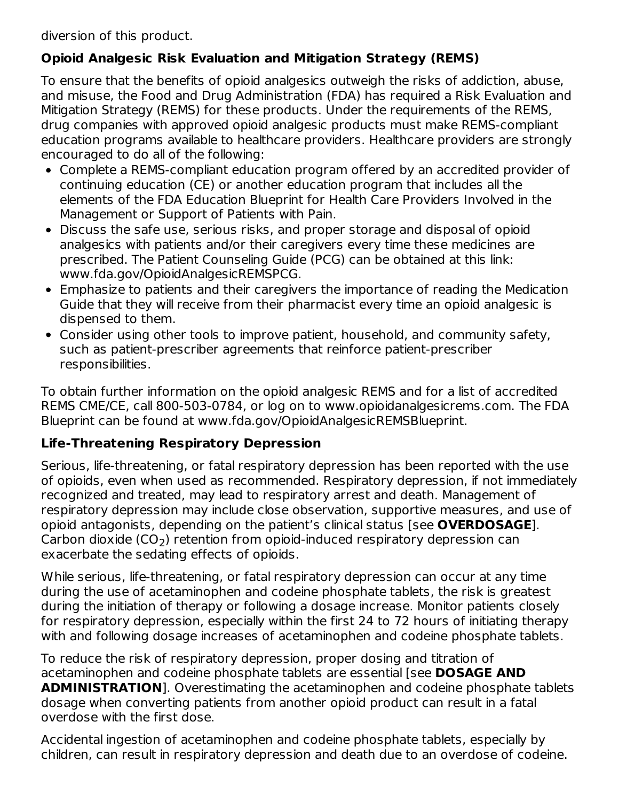diversion of this product.

# **Opioid Analgesic Risk Evaluation and Mitigation Strategy (REMS)**

To ensure that the benefits of opioid analgesics outweigh the risks of addiction, abuse, and misuse, the Food and Drug Administration (FDA) has required a Risk Evaluation and Mitigation Strategy (REMS) for these products. Under the requirements of the REMS, drug companies with approved opioid analgesic products must make REMS-compliant education programs available to healthcare providers. Healthcare providers are strongly encouraged to do all of the following:

- Complete a REMS-compliant education program offered by an accredited provider of continuing education (CE) or another education program that includes all the elements of the FDA Education Blueprint for Health Care Providers Involved in the Management or Support of Patients with Pain.
- Discuss the safe use, serious risks, and proper storage and disposal of opioid analgesics with patients and/or their caregivers every time these medicines are prescribed. The Patient Counseling Guide (PCG) can be obtained at this link: www.fda.gov/OpioidAnalgesicREMSPCG.
- Emphasize to patients and their caregivers the importance of reading the Medication Guide that they will receive from their pharmacist every time an opioid analgesic is dispensed to them.
- Consider using other tools to improve patient, household, and community safety, such as patient-prescriber agreements that reinforce patient-prescriber responsibilities.

To obtain further information on the opioid analgesic REMS and for a list of accredited REMS CME/CE, call 800-503-0784, or log on to www.opioidanalgesicrems.com. The FDA Blueprint can be found at www.fda.gov/OpioidAnalgesicREMSBlueprint.

# **Life-Threatening Respiratory Depression**

Serious, life-threatening, or fatal respiratory depression has been reported with the use of opioids, even when used as recommended. Respiratory depression, if not immediately recognized and treated, may lead to respiratory arrest and death. Management of respiratory depression may include close observation, supportive measures, and use of opioid antagonists, depending on the patient's clinical status [see **OVERDOSAGE**]. Carbon dioxide (CO<sub>2</sub>) retention from opioid-induced respiratory depression can exacerbate the sedating effects of opioids.

While serious, life-threatening, or fatal respiratory depression can occur at any time during the use of acetaminophen and codeine phosphate tablets, the risk is greatest during the initiation of therapy or following a dosage increase. Monitor patients closely for respiratory depression, especially within the first 24 to 72 hours of initiating therapy with and following dosage increases of acetaminophen and codeine phosphate tablets.

To reduce the risk of respiratory depression, proper dosing and titration of acetaminophen and codeine phosphate tablets are essential [see **DOSAGE AND ADMINISTRATION**]. Overestimating the acetaminophen and codeine phosphate tablets dosage when converting patients from another opioid product can result in a fatal overdose with the first dose.

Accidental ingestion of acetaminophen and codeine phosphate tablets, especially by children, can result in respiratory depression and death due to an overdose of codeine.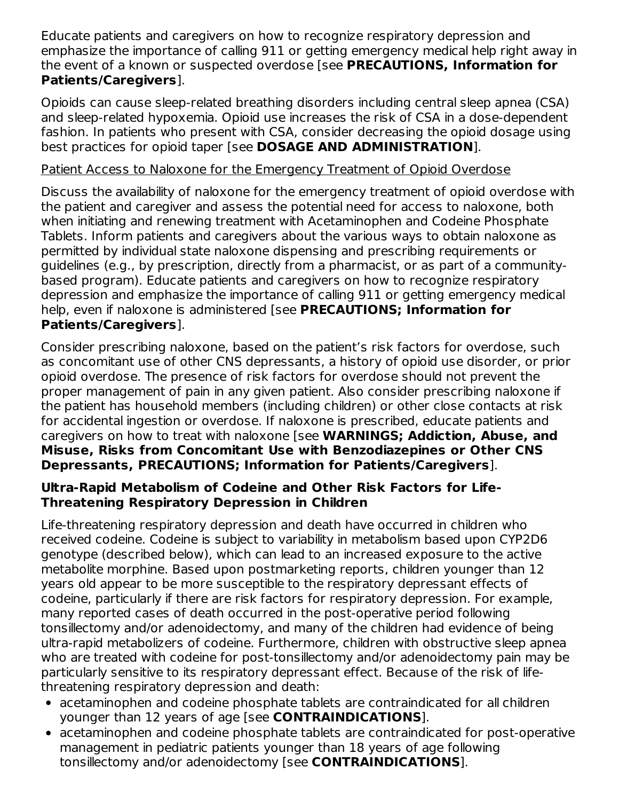Educate patients and caregivers on how to recognize respiratory depression and emphasize the importance of calling 911 or getting emergency medical help right away in the event of a known or suspected overdose [see **PRECAUTIONS, Information for Patients/Caregivers**].

Opioids can cause sleep-related breathing disorders including central sleep apnea (CSA) and sleep-related hypoxemia. Opioid use increases the risk of CSA in a dose-dependent fashion. In patients who present with CSA, consider decreasing the opioid dosage using best practices for opioid taper [see **DOSAGE AND ADMINISTRATION**].

#### Patient Access to Naloxone for the Emergency Treatment of Opioid Overdose

Discuss the availability of naloxone for the emergency treatment of opioid overdose with the patient and caregiver and assess the potential need for access to naloxone, both when initiating and renewing treatment with Acetaminophen and Codeine Phosphate Tablets. Inform patients and caregivers about the various ways to obtain naloxone as permitted by individual state naloxone dispensing and prescribing requirements or guidelines (e.g., by prescription, directly from a pharmacist, or as part of a communitybased program). Educate patients and caregivers on how to recognize respiratory depression and emphasize the importance of calling 911 or getting emergency medical help, even if naloxone is administered [see **PRECAUTIONS; Information for Patients/Caregivers**].

Consider prescribing naloxone, based on the patient's risk factors for overdose, such as concomitant use of other CNS depressants, a history of opioid use disorder, or prior opioid overdose. The presence of risk factors for overdose should not prevent the proper management of pain in any given patient. Also consider prescribing naloxone if the patient has household members (including children) or other close contacts at risk for accidental ingestion or overdose. If naloxone is prescribed, educate patients and caregivers on how to treat with naloxone [see **WARNINGS; Addiction, Abuse, and Misuse, Risks from Concomitant Use with Benzodiazepines or Other CNS Depressants, PRECAUTIONS; Information for Patients/Caregivers**].

#### **Ultra-Rapid Metabolism of Codeine and Other Risk Factors for Life-Threatening Respiratory Depression in Children**

Life-threatening respiratory depression and death have occurred in children who received codeine. Codeine is subject to variability in metabolism based upon CYP2D6 genotype (described below), which can lead to an increased exposure to the active metabolite morphine. Based upon postmarketing reports, children younger than 12 years old appear to be more susceptible to the respiratory depressant effects of codeine, particularly if there are risk factors for respiratory depression. For example, many reported cases of death occurred in the post-operative period following tonsillectomy and/or adenoidectomy, and many of the children had evidence of being ultra-rapid metabolizers of codeine. Furthermore, children with obstructive sleep apnea who are treated with codeine for post-tonsillectomy and/or adenoidectomy pain may be particularly sensitive to its respiratory depressant effect. Because of the risk of lifethreatening respiratory depression and death:

- acetaminophen and codeine phosphate tablets are contraindicated for all children younger than 12 years of age [see **CONTRAINDICATIONS**].
- acetaminophen and codeine phosphate tablets are contraindicated for post-operative management in pediatric patients younger than 18 years of age following tonsillectomy and/or adenoidectomy [see **CONTRAINDICATIONS**].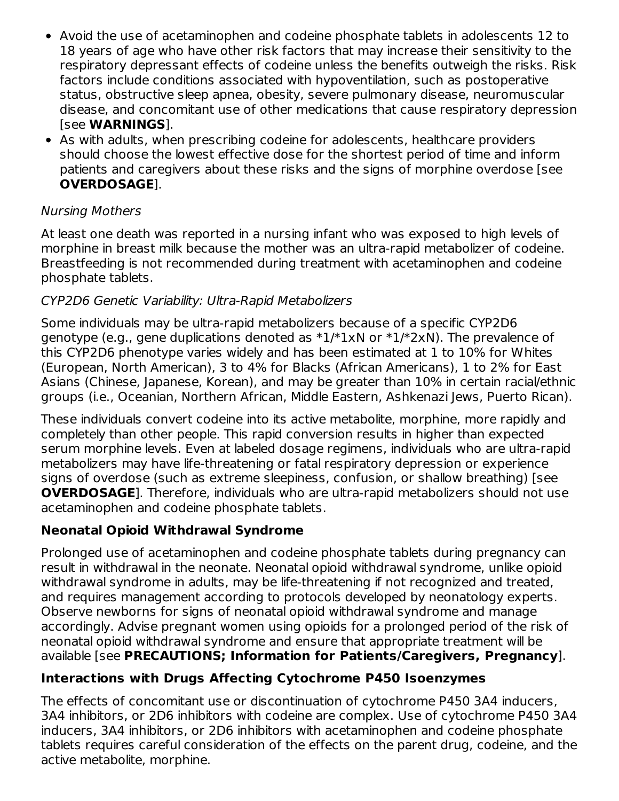- Avoid the use of acetaminophen and codeine phosphate tablets in adolescents 12 to 18 years of age who have other risk factors that may increase their sensitivity to the respiratory depressant effects of codeine unless the benefits outweigh the risks. Risk factors include conditions associated with hypoventilation, such as postoperative status, obstructive sleep apnea, obesity, severe pulmonary disease, neuromuscular disease, and concomitant use of other medications that cause respiratory depression [see **WARNINGS**].
- As with adults, when prescribing codeine for adolescents, healthcare providers should choose the lowest effective dose for the shortest period of time and inform patients and caregivers about these risks and the signs of morphine overdose [see **OVERDOSAGE**].

# Nursing Mothers

At least one death was reported in a nursing infant who was exposed to high levels of morphine in breast milk because the mother was an ultra-rapid metabolizer of codeine. Breastfeeding is not recommended during treatment with acetaminophen and codeine phosphate tablets.

# CYP2D6 Genetic Variability: Ultra-Rapid Metabolizers

Some individuals may be ultra-rapid metabolizers because of a specific CYP2D6 genotype (e.g., gene duplications denoted as  $*1/*1xN$  or  $*1/*2xN$ ). The prevalence of this CYP2D6 phenotype varies widely and has been estimated at 1 to 10% for Whites (European, North American), 3 to 4% for Blacks (African Americans), 1 to 2% for East Asians (Chinese, Japanese, Korean), and may be greater than 10% in certain racial/ethnic groups (i.e., Oceanian, Northern African, Middle Eastern, Ashkenazi Jews, Puerto Rican).

These individuals convert codeine into its active metabolite, morphine, more rapidly and completely than other people. This rapid conversion results in higher than expected serum morphine levels. Even at labeled dosage regimens, individuals who are ultra-rapid metabolizers may have life-threatening or fatal respiratory depression or experience signs of overdose (such as extreme sleepiness, confusion, or shallow breathing) [see **OVERDOSAGE**]. Therefore, individuals who are ultra-rapid metabolizers should not use acetaminophen and codeine phosphate tablets.

# **Neonatal Opioid Withdrawal Syndrome**

Prolonged use of acetaminophen and codeine phosphate tablets during pregnancy can result in withdrawal in the neonate. Neonatal opioid withdrawal syndrome, unlike opioid withdrawal syndrome in adults, may be life-threatening if not recognized and treated, and requires management according to protocols developed by neonatology experts. Observe newborns for signs of neonatal opioid withdrawal syndrome and manage accordingly. Advise pregnant women using opioids for a prolonged period of the risk of neonatal opioid withdrawal syndrome and ensure that appropriate treatment will be available [see **PRECAUTIONS; Information for Patients/Caregivers, Pregnancy**].

# **Interactions with Drugs Affecting Cytochrome P450 Isoenzymes**

The effects of concomitant use or discontinuation of cytochrome P450 3A4 inducers, 3A4 inhibitors, or 2D6 inhibitors with codeine are complex. Use of cytochrome P450 3A4 inducers, 3A4 inhibitors, or 2D6 inhibitors with acetaminophen and codeine phosphate tablets requires careful consideration of the effects on the parent drug, codeine, and the active metabolite, morphine.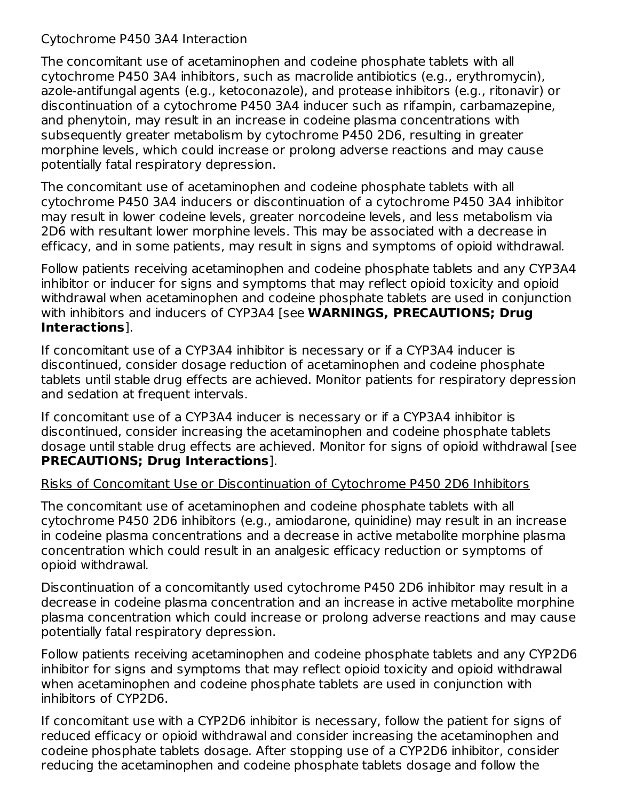#### Cytochrome P450 3A4 Interaction

The concomitant use of acetaminophen and codeine phosphate tablets with all cytochrome P450 3A4 inhibitors, such as macrolide antibiotics (e.g., erythromycin), azole-antifungal agents (e.g., ketoconazole), and protease inhibitors (e.g., ritonavir) or discontinuation of a cytochrome P450 3A4 inducer such as rifampin, carbamazepine, and phenytoin, may result in an increase in codeine plasma concentrations with subsequently greater metabolism by cytochrome P450 2D6, resulting in greater morphine levels, which could increase or prolong adverse reactions and may cause potentially fatal respiratory depression.

The concomitant use of acetaminophen and codeine phosphate tablets with all cytochrome P450 3A4 inducers or discontinuation of a cytochrome P450 3A4 inhibitor may result in lower codeine levels, greater norcodeine levels, and less metabolism via 2D6 with resultant lower morphine levels. This may be associated with a decrease in efficacy, and in some patients, may result in signs and symptoms of opioid withdrawal.

Follow patients receiving acetaminophen and codeine phosphate tablets and any CYP3A4 inhibitor or inducer for signs and symptoms that may reflect opioid toxicity and opioid withdrawal when acetaminophen and codeine phosphate tablets are used in conjunction with inhibitors and inducers of CYP3A4 [see **WARNINGS, PRECAUTIONS; Drug Interactions**].

If concomitant use of a CYP3A4 inhibitor is necessary or if a CYP3A4 inducer is discontinued, consider dosage reduction of acetaminophen and codeine phosphate tablets until stable drug effects are achieved. Monitor patients for respiratory depression and sedation at frequent intervals.

If concomitant use of a CYP3A4 inducer is necessary or if a CYP3A4 inhibitor is discontinued, consider increasing the acetaminophen and codeine phosphate tablets dosage until stable drug effects are achieved. Monitor for signs of opioid withdrawal [see **PRECAUTIONS; Drug Interactions**].

# Risks of Concomitant Use or Discontinuation of Cytochrome P450 2D6 Inhibitors

The concomitant use of acetaminophen and codeine phosphate tablets with all cytochrome P450 2D6 inhibitors (e.g., amiodarone, quinidine) may result in an increase in codeine plasma concentrations and a decrease in active metabolite morphine plasma concentration which could result in an analgesic efficacy reduction or symptoms of opioid withdrawal.

Discontinuation of a concomitantly used cytochrome P450 2D6 inhibitor may result in a decrease in codeine plasma concentration and an increase in active metabolite morphine plasma concentration which could increase or prolong adverse reactions and may cause potentially fatal respiratory depression.

Follow patients receiving acetaminophen and codeine phosphate tablets and any CYP2D6 inhibitor for signs and symptoms that may reflect opioid toxicity and opioid withdrawal when acetaminophen and codeine phosphate tablets are used in conjunction with inhibitors of CYP2D6.

If concomitant use with a CYP2D6 inhibitor is necessary, follow the patient for signs of reduced efficacy or opioid withdrawal and consider increasing the acetaminophen and codeine phosphate tablets dosage. After stopping use of a CYP2D6 inhibitor, consider reducing the acetaminophen and codeine phosphate tablets dosage and follow the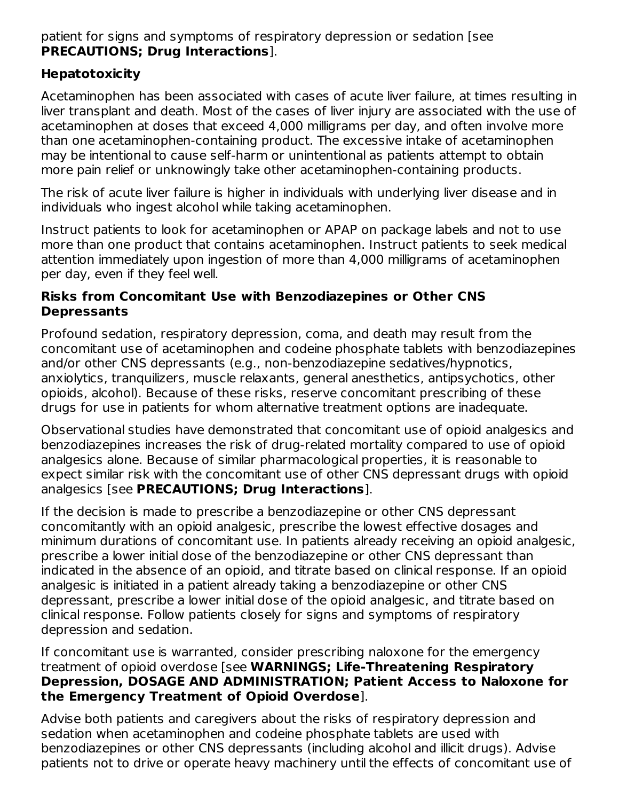patient for signs and symptoms of respiratory depression or sedation [see **PRECAUTIONS; Drug Interactions**].

# **Hepatotoxicity**

Acetaminophen has been associated with cases of acute liver failure, at times resulting in liver transplant and death. Most of the cases of liver injury are associated with the use of acetaminophen at doses that exceed 4,000 milligrams per day, and often involve more than one acetaminophen-containing product. The excessive intake of acetaminophen may be intentional to cause self-harm or unintentional as patients attempt to obtain more pain relief or unknowingly take other acetaminophen-containing products.

The risk of acute liver failure is higher in individuals with underlying liver disease and in individuals who ingest alcohol while taking acetaminophen.

Instruct patients to look for acetaminophen or APAP on package labels and not to use more than one product that contains acetaminophen. Instruct patients to seek medical attention immediately upon ingestion of more than 4,000 milligrams of acetaminophen per day, even if they feel well.

#### **Risks from Concomitant Use with Benzodiazepines or Other CNS Depressants**

Profound sedation, respiratory depression, coma, and death may result from the concomitant use of acetaminophen and codeine phosphate tablets with benzodiazepines and/or other CNS depressants (e.g., non-benzodiazepine sedatives/hypnotics, anxiolytics, tranquilizers, muscle relaxants, general anesthetics, antipsychotics, other opioids, alcohol). Because of these risks, reserve concomitant prescribing of these drugs for use in patients for whom alternative treatment options are inadequate.

Observational studies have demonstrated that concomitant use of opioid analgesics and benzodiazepines increases the risk of drug-related mortality compared to use of opioid analgesics alone. Because of similar pharmacological properties, it is reasonable to expect similar risk with the concomitant use of other CNS depressant drugs with opioid analgesics [see **PRECAUTIONS; Drug Interactions**].

If the decision is made to prescribe a benzodiazepine or other CNS depressant concomitantly with an opioid analgesic, prescribe the lowest effective dosages and minimum durations of concomitant use. In patients already receiving an opioid analgesic, prescribe a lower initial dose of the benzodiazepine or other CNS depressant than indicated in the absence of an opioid, and titrate based on clinical response. If an opioid analgesic is initiated in a patient already taking a benzodiazepine or other CNS depressant, prescribe a lower initial dose of the opioid analgesic, and titrate based on clinical response. Follow patients closely for signs and symptoms of respiratory depression and sedation.

#### If concomitant use is warranted, consider prescribing naloxone for the emergency treatment of opioid overdose [see **WARNINGS; Life-Threatening Respiratory Depression, DOSAGE AND ADMINISTRATION; Patient Access to Naloxone for the Emergency Treatment of Opioid Overdose**].

Advise both patients and caregivers about the risks of respiratory depression and sedation when acetaminophen and codeine phosphate tablets are used with benzodiazepines or other CNS depressants (including alcohol and illicit drugs). Advise patients not to drive or operate heavy machinery until the effects of concomitant use of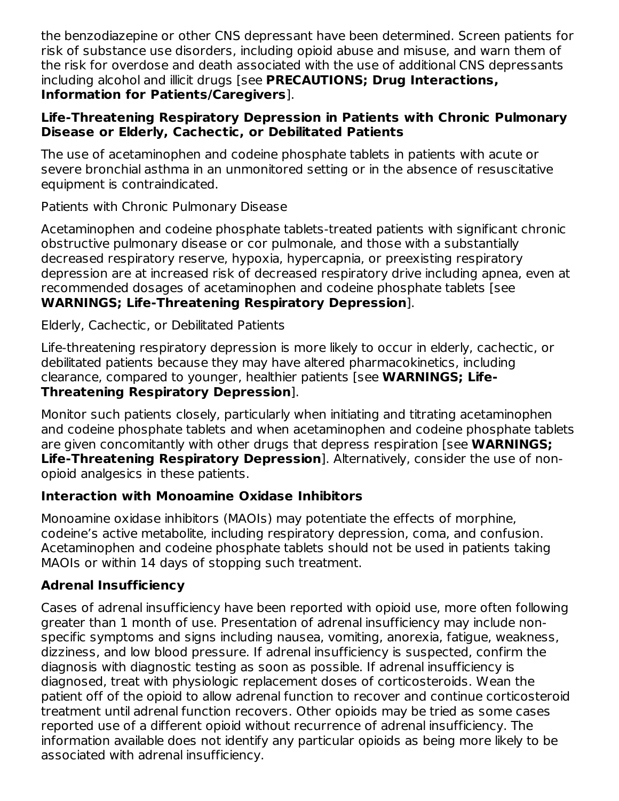the benzodiazepine or other CNS depressant have been determined. Screen patients for risk of substance use disorders, including opioid abuse and misuse, and warn them of the risk for overdose and death associated with the use of additional CNS depressants including alcohol and illicit drugs [see **PRECAUTIONS; Drug Interactions, Information for Patients/Caregivers**].

#### **Life-Threatening Respiratory Depression in Patients with Chronic Pulmonary Disease or Elderly, Cachectic, or Debilitated Patients**

The use of acetaminophen and codeine phosphate tablets in patients with acute or severe bronchial asthma in an unmonitored setting or in the absence of resuscitative equipment is contraindicated.

Patients with Chronic Pulmonary Disease

Acetaminophen and codeine phosphate tablets-treated patients with significant chronic obstructive pulmonary disease or cor pulmonale, and those with a substantially decreased respiratory reserve, hypoxia, hypercapnia, or preexisting respiratory depression are at increased risk of decreased respiratory drive including apnea, even at recommended dosages of acetaminophen and codeine phosphate tablets [see **WARNINGS; Life-Threatening Respiratory Depression**].

Elderly, Cachectic, or Debilitated Patients

Life-threatening respiratory depression is more likely to occur in elderly, cachectic, or debilitated patients because they may have altered pharmacokinetics, including clearance, compared to younger, healthier patients [see **WARNINGS; Life-**

# **Threatening Respiratory Depression**].

Monitor such patients closely, particularly when initiating and titrating acetaminophen and codeine phosphate tablets and when acetaminophen and codeine phosphate tablets are given concomitantly with other drugs that depress respiration [see **WARNINGS; Life-Threatening Respiratory Depression**]. Alternatively, consider the use of nonopioid analgesics in these patients.

# **Interaction with Monoamine Oxidase Inhibitors**

Monoamine oxidase inhibitors (MAOIs) may potentiate the effects of morphine, codeine's active metabolite, including respiratory depression, coma, and confusion. Acetaminophen and codeine phosphate tablets should not be used in patients taking MAOIs or within 14 days of stopping such treatment.

# **Adrenal Insufficiency**

Cases of adrenal insufficiency have been reported with opioid use, more often following greater than 1 month of use. Presentation of adrenal insufficiency may include nonspecific symptoms and signs including nausea, vomiting, anorexia, fatigue, weakness, dizziness, and low blood pressure. If adrenal insufficiency is suspected, confirm the diagnosis with diagnostic testing as soon as possible. If adrenal insufficiency is diagnosed, treat with physiologic replacement doses of corticosteroids. Wean the patient off of the opioid to allow adrenal function to recover and continue corticosteroid treatment until adrenal function recovers. Other opioids may be tried as some cases reported use of a different opioid without recurrence of adrenal insufficiency. The information available does not identify any particular opioids as being more likely to be associated with adrenal insufficiency.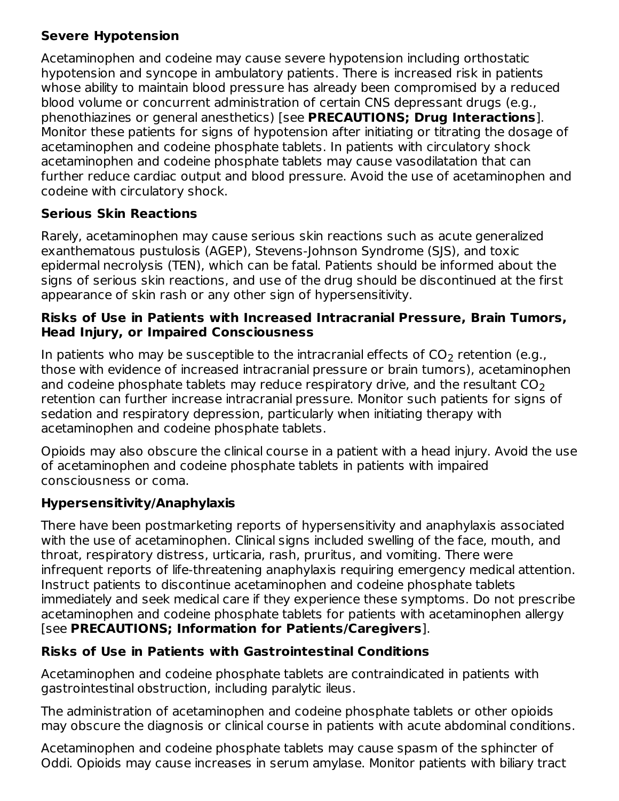# **Severe Hypotension**

Acetaminophen and codeine may cause severe hypotension including orthostatic hypotension and syncope in ambulatory patients. There is increased risk in patients whose ability to maintain blood pressure has already been compromised by a reduced blood volume or concurrent administration of certain CNS depressant drugs (e.g., phenothiazines or general anesthetics) [see **PRECAUTIONS; Drug Interactions**]. Monitor these patients for signs of hypotension after initiating or titrating the dosage of acetaminophen and codeine phosphate tablets. In patients with circulatory shock acetaminophen and codeine phosphate tablets may cause vasodilatation that can further reduce cardiac output and blood pressure. Avoid the use of acetaminophen and codeine with circulatory shock.

# **Serious Skin Reactions**

Rarely, acetaminophen may cause serious skin reactions such as acute generalized exanthematous pustulosis (AGEP), Stevens-Johnson Syndrome (SJS), and toxic epidermal necrolysis (TEN), which can be fatal. Patients should be informed about the signs of serious skin reactions, and use of the drug should be discontinued at the first appearance of skin rash or any other sign of hypersensitivity.

## **Risks of Use in Patients with Increased Intracranial Pressure, Brain Tumors, Head Injury, or Impaired Consciousness**

In patients who may be susceptible to the intracranial effects of CO<sub>2</sub> retention (e.g., those with evidence of increased intracranial pressure or brain tumors), acetaminophen and codeine phosphate tablets may reduce respiratory drive, and the resultant  $\mathsf{CO}_{2}$ retention can further increase intracranial pressure. Monitor such patients for signs of sedation and respiratory depression, particularly when initiating therapy with acetaminophen and codeine phosphate tablets.

Opioids may also obscure the clinical course in a patient with a head injury. Avoid the use of acetaminophen and codeine phosphate tablets in patients with impaired consciousness or coma.

# **Hypersensitivity/Anaphylaxis**

There have been postmarketing reports of hypersensitivity and anaphylaxis associated with the use of acetaminophen. Clinical signs included swelling of the face, mouth, and throat, respiratory distress, urticaria, rash, pruritus, and vomiting. There were infrequent reports of life-threatening anaphylaxis requiring emergency medical attention. Instruct patients to discontinue acetaminophen and codeine phosphate tablets immediately and seek medical care if they experience these symptoms. Do not prescribe acetaminophen and codeine phosphate tablets for patients with acetaminophen allergy [see **PRECAUTIONS; Information for Patients/Caregivers**].

# **Risks of Use in Patients with Gastrointestinal Conditions**

Acetaminophen and codeine phosphate tablets are contraindicated in patients with gastrointestinal obstruction, including paralytic ileus.

The administration of acetaminophen and codeine phosphate tablets or other opioids may obscure the diagnosis or clinical course in patients with acute abdominal conditions.

Acetaminophen and codeine phosphate tablets may cause spasm of the sphincter of Oddi. Opioids may cause increases in serum amylase. Monitor patients with biliary tract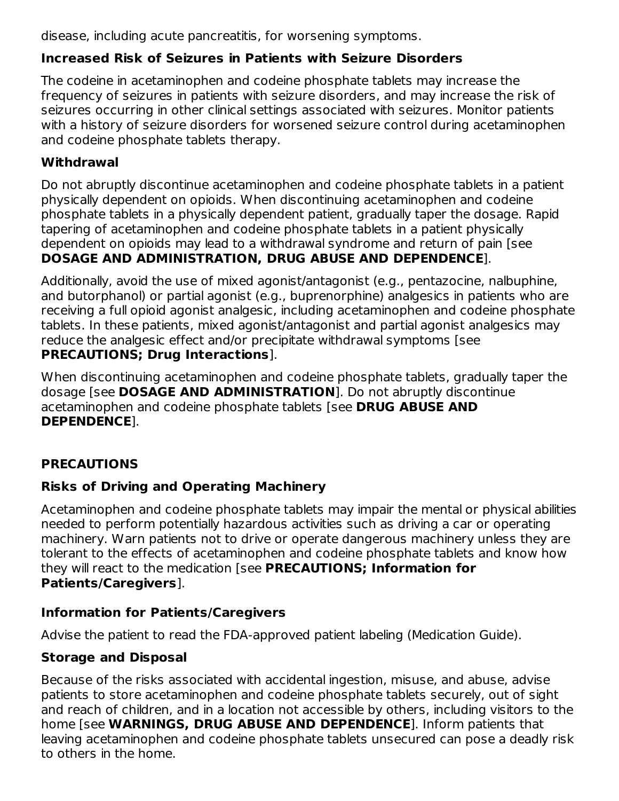disease, including acute pancreatitis, for worsening symptoms.

# **Increased Risk of Seizures in Patients with Seizure Disorders**

The codeine in acetaminophen and codeine phosphate tablets may increase the frequency of seizures in patients with seizure disorders, and may increase the risk of seizures occurring in other clinical settings associated with seizures. Monitor patients with a history of seizure disorders for worsened seizure control during acetaminophen and codeine phosphate tablets therapy.

# **Withdrawal**

Do not abruptly discontinue acetaminophen and codeine phosphate tablets in a patient physically dependent on opioids. When discontinuing acetaminophen and codeine phosphate tablets in a physically dependent patient, gradually taper the dosage. Rapid tapering of acetaminophen and codeine phosphate tablets in a patient physically dependent on opioids may lead to a withdrawal syndrome and return of pain [see **DOSAGE AND ADMINISTRATION, DRUG ABUSE AND DEPENDENCE**].

Additionally, avoid the use of mixed agonist/antagonist (e.g., pentazocine, nalbuphine, and butorphanol) or partial agonist (e.g., buprenorphine) analgesics in patients who are receiving a full opioid agonist analgesic, including acetaminophen and codeine phosphate tablets. In these patients, mixed agonist/antagonist and partial agonist analgesics may reduce the analgesic effect and/or precipitate withdrawal symptoms [see **PRECAUTIONS; Drug Interactions**].

When discontinuing acetaminophen and codeine phosphate tablets, gradually taper the dosage [see **DOSAGE AND ADMINISTRATION**]. Do not abruptly discontinue acetaminophen and codeine phosphate tablets [see **DRUG ABUSE AND DEPENDENCE**].

# **PRECAUTIONS**

# **Risks of Driving and Operating Machinery**

Acetaminophen and codeine phosphate tablets may impair the mental or physical abilities needed to perform potentially hazardous activities such as driving a car or operating machinery. Warn patients not to drive or operate dangerous machinery unless they are tolerant to the effects of acetaminophen and codeine phosphate tablets and know how they will react to the medication [see **PRECAUTIONS; Information for Patients/Caregivers**].

# **Information for Patients/Caregivers**

Advise the patient to read the FDA-approved patient labeling (Medication Guide).

# **Storage and Disposal**

Because of the risks associated with accidental ingestion, misuse, and abuse, advise patients to store acetaminophen and codeine phosphate tablets securely, out of sight and reach of children, and in a location not accessible by others, including visitors to the home [see **WARNINGS, DRUG ABUSE AND DEPENDENCE**]. Inform patients that leaving acetaminophen and codeine phosphate tablets unsecured can pose a deadly risk to others in the home.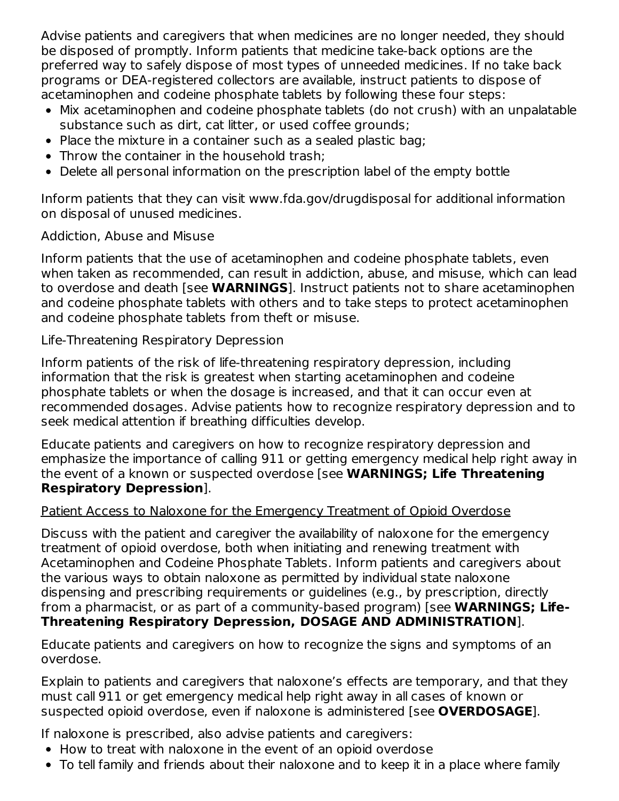Advise patients and caregivers that when medicines are no longer needed, they should be disposed of promptly. Inform patients that medicine take-back options are the preferred way to safely dispose of most types of unneeded medicines. If no take back programs or DEA-registered collectors are available, instruct patients to dispose of acetaminophen and codeine phosphate tablets by following these four steps:

- Mix acetaminophen and codeine phosphate tablets (do not crush) with an unpalatable substance such as dirt, cat litter, or used coffee grounds;
- Place the mixture in a container such as a sealed plastic bag:
- Throw the container in the household trash;
- Delete all personal information on the prescription label of the empty bottle

Inform patients that they can visit www.fda.gov/drugdisposal for additional information on disposal of unused medicines.

#### Addiction, Abuse and Misuse

Inform patients that the use of acetaminophen and codeine phosphate tablets, even when taken as recommended, can result in addiction, abuse, and misuse, which can lead to overdose and death [see **WARNINGS**]. Instruct patients not to share acetaminophen and codeine phosphate tablets with others and to take steps to protect acetaminophen and codeine phosphate tablets from theft or misuse.

#### Life-Threatening Respiratory Depression

Inform patients of the risk of life-threatening respiratory depression, including information that the risk is greatest when starting acetaminophen and codeine phosphate tablets or when the dosage is increased, and that it can occur even at recommended dosages. Advise patients how to recognize respiratory depression and to seek medical attention if breathing difficulties develop.

Educate patients and caregivers on how to recognize respiratory depression and emphasize the importance of calling 911 or getting emergency medical help right away in the event of a known or suspected overdose [see **WARNINGS; Life Threatening Respiratory Depression**].

#### Patient Access to Naloxone for the Emergency Treatment of Opioid Overdose

Discuss with the patient and caregiver the availability of naloxone for the emergency treatment of opioid overdose, both when initiating and renewing treatment with Acetaminophen and Codeine Phosphate Tablets. Inform patients and caregivers about the various ways to obtain naloxone as permitted by individual state naloxone dispensing and prescribing requirements or guidelines (e.g., by prescription, directly from a pharmacist, or as part of a community-based program) [see **WARNINGS; Life-Threatening Respiratory Depression, DOSAGE AND ADMINISTRATION**].

Educate patients and caregivers on how to recognize the signs and symptoms of an overdose.

Explain to patients and caregivers that naloxone's effects are temporary, and that they must call 911 or get emergency medical help right away in all cases of known or suspected opioid overdose, even if naloxone is administered [see **OVERDOSAGE**].

If naloxone is prescribed, also advise patients and caregivers:

- How to treat with naloxone in the event of an opioid overdose
- To tell family and friends about their naloxone and to keep it in a place where family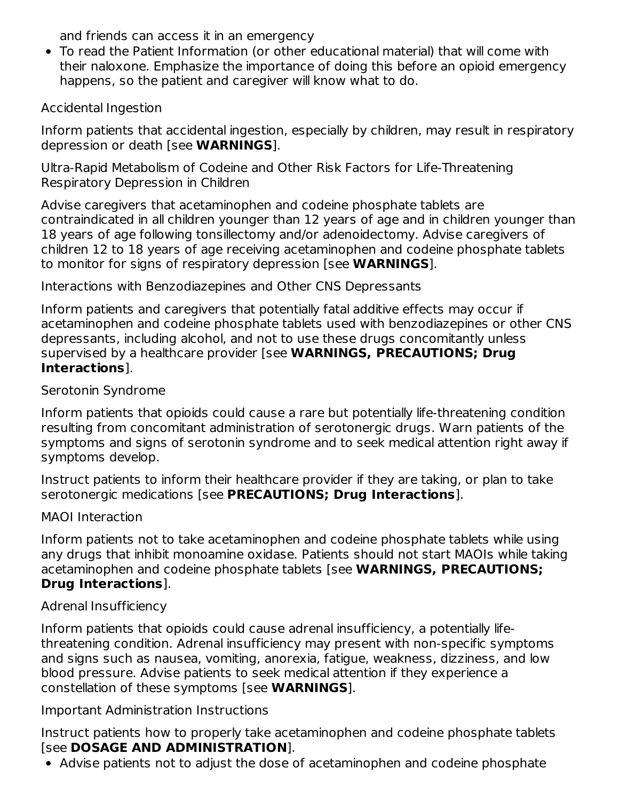and friends can access it in an emergency

To read the Patient Information (or other educational material) that will come with their naloxone. Emphasize the importance of doing this before an opioid emergency happens, so the patient and caregiver will know what to do.

Accidental Ingestion

Inform patients that accidental ingestion, especially by children, may result in respiratory depression or death [see **WARNINGS**].

Ultra-Rapid Metabolism of Codeine and Other Risk Factors for Life-Threatening Respiratory Depression in Children

Advise caregivers that acetaminophen and codeine phosphate tablets are contraindicated in all children younger than 12 years of age and in children younger than 18 years of age following tonsillectomy and/or adenoidectomy. Advise caregivers of children 12 to 18 years of age receiving acetaminophen and codeine phosphate tablets to monitor for signs of respiratory depression [see **WARNINGS**].

Interactions with Benzodiazepines and Other CNS Depressants

Inform patients and caregivers that potentially fatal additive effects may occur if acetaminophen and codeine phosphate tablets used with benzodiazepines or other CNS depressants, including alcohol, and not to use these drugs concomitantly unless supervised by a healthcare provider [see **WARNINGS, PRECAUTIONS; Drug Interactions**].

Serotonin Syndrome

Inform patients that opioids could cause a rare but potentially life-threatening condition resulting from concomitant administration of serotonergic drugs. Warn patients of the symptoms and signs of serotonin syndrome and to seek medical attention right away if symptoms develop.

Instruct patients to inform their healthcare provider if they are taking, or plan to take serotonergic medications [see **PRECAUTIONS; Drug Interactions**].

MAOI Interaction

Inform patients not to take acetaminophen and codeine phosphate tablets while using any drugs that inhibit monoamine oxidase. Patients should not start MAOIs while taking acetaminophen and codeine phosphate tablets [see **WARNINGS, PRECAUTIONS; Drug Interactions**].

Adrenal Insufficiency

Inform patients that opioids could cause adrenal insufficiency, a potentially lifethreatening condition. Adrenal insufficiency may present with non-specific symptoms and signs such as nausea, vomiting, anorexia, fatigue, weakness, dizziness, and low blood pressure. Advise patients to seek medical attention if they experience a constellation of these symptoms [see **WARNINGS**].

Important Administration Instructions

Instruct patients how to properly take acetaminophen and codeine phosphate tablets [see **DOSAGE AND ADMINISTRATION**].

Advise patients not to adjust the dose of acetaminophen and codeine phosphate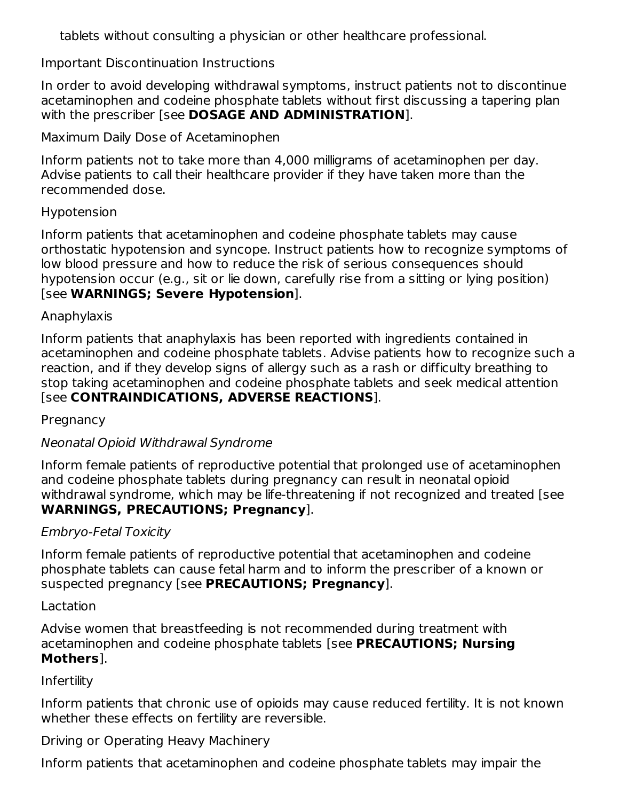tablets without consulting a physician or other healthcare professional.

#### Important Discontinuation Instructions

In order to avoid developing withdrawal symptoms, instruct patients not to discontinue acetaminophen and codeine phosphate tablets without first discussing a tapering plan with the prescriber [see **DOSAGE AND ADMINISTRATION**].

#### Maximum Daily Dose of Acetaminophen

Inform patients not to take more than 4,000 milligrams of acetaminophen per day. Advise patients to call their healthcare provider if they have taken more than the recommended dose.

#### Hypotension

Inform patients that acetaminophen and codeine phosphate tablets may cause orthostatic hypotension and syncope. Instruct patients how to recognize symptoms of low blood pressure and how to reduce the risk of serious consequences should hypotension occur (e.g., sit or lie down, carefully rise from a sitting or lying position) [see **WARNINGS; Severe Hypotension**].

## Anaphylaxis

Inform patients that anaphylaxis has been reported with ingredients contained in acetaminophen and codeine phosphate tablets. Advise patients how to recognize such a reaction, and if they develop signs of allergy such as a rash or difficulty breathing to stop taking acetaminophen and codeine phosphate tablets and seek medical attention [see **CONTRAINDICATIONS, ADVERSE REACTIONS**].

#### Pregnancy

# Neonatal Opioid Withdrawal Syndrome

Inform female patients of reproductive potential that prolonged use of acetaminophen and codeine phosphate tablets during pregnancy can result in neonatal opioid withdrawal syndrome, which may be life-threatening if not recognized and treated [see **WARNINGS, PRECAUTIONS; Pregnancy**].

#### Embryo-Fetal Toxicity

Inform female patients of reproductive potential that acetaminophen and codeine phosphate tablets can cause fetal harm and to inform the prescriber of a known or suspected pregnancy [see **PRECAUTIONS; Pregnancy**].

#### Lactation

Advise women that breastfeeding is not recommended during treatment with acetaminophen and codeine phosphate tablets [see **PRECAUTIONS; Nursing Mothers**].

#### Infertility

Inform patients that chronic use of opioids may cause reduced fertility. It is not known whether these effects on fertility are reversible.

Driving or Operating Heavy Machinery

Inform patients that acetaminophen and codeine phosphate tablets may impair the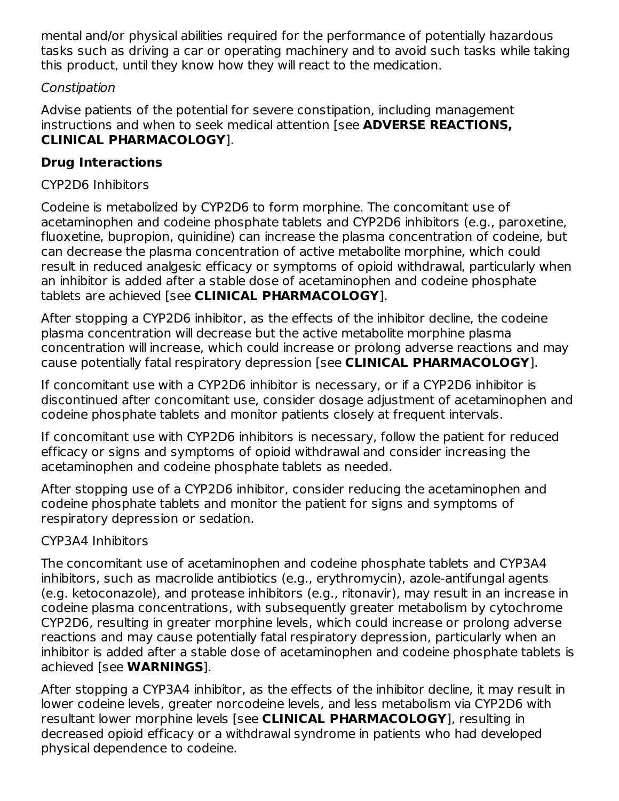mental and/or physical abilities required for the performance of potentially hazardous tasks such as driving a car or operating machinery and to avoid such tasks while taking this product, until they know how they will react to the medication.

## Constipation

Advise patients of the potential for severe constipation, including management instructions and when to seek medical attention [see **ADVERSE REACTIONS, CLINICAL PHARMACOLOGY**].

# **Drug Interactions**

# CYP2D6 Inhibitors

Codeine is metabolized by CYP2D6 to form morphine. The concomitant use of acetaminophen and codeine phosphate tablets and CYP2D6 inhibitors (e.g., paroxetine, fluoxetine, bupropion, quinidine) can increase the plasma concentration of codeine, but can decrease the plasma concentration of active metabolite morphine, which could result in reduced analgesic efficacy or symptoms of opioid withdrawal, particularly when an inhibitor is added after a stable dose of acetaminophen and codeine phosphate tablets are achieved [see **CLINICAL PHARMACOLOGY**].

After stopping a CYP2D6 inhibitor, as the effects of the inhibitor decline, the codeine plasma concentration will decrease but the active metabolite morphine plasma concentration will increase, which could increase or prolong adverse reactions and may cause potentially fatal respiratory depression [see **CLINICAL PHARMACOLOGY**].

If concomitant use with a CYP2D6 inhibitor is necessary, or if a CYP2D6 inhibitor is discontinued after concomitant use, consider dosage adjustment of acetaminophen and codeine phosphate tablets and monitor patients closely at frequent intervals.

If concomitant use with CYP2D6 inhibitors is necessary, follow the patient for reduced efficacy or signs and symptoms of opioid withdrawal and consider increasing the acetaminophen and codeine phosphate tablets as needed.

After stopping use of a CYP2D6 inhibitor, consider reducing the acetaminophen and codeine phosphate tablets and monitor the patient for signs and symptoms of respiratory depression or sedation.

# CYP3A4 Inhibitors

The concomitant use of acetaminophen and codeine phosphate tablets and CYP3A4 inhibitors, such as macrolide antibiotics (e.g., erythromycin), azole-antifungal agents (e.g. ketoconazole), and protease inhibitors (e.g., ritonavir), may result in an increase in codeine plasma concentrations, with subsequently greater metabolism by cytochrome CYP2D6, resulting in greater morphine levels, which could increase or prolong adverse reactions and may cause potentially fatal respiratory depression, particularly when an inhibitor is added after a stable dose of acetaminophen and codeine phosphate tablets is achieved [see **WARNINGS**].

After stopping a CYP3A4 inhibitor, as the effects of the inhibitor decline, it may result in lower codeine levels, greater norcodeine levels, and less metabolism via CYP2D6 with resultant lower morphine levels [see **CLINICAL PHARMACOLOGY**], resulting in decreased opioid efficacy or a withdrawal syndrome in patients who had developed physical dependence to codeine.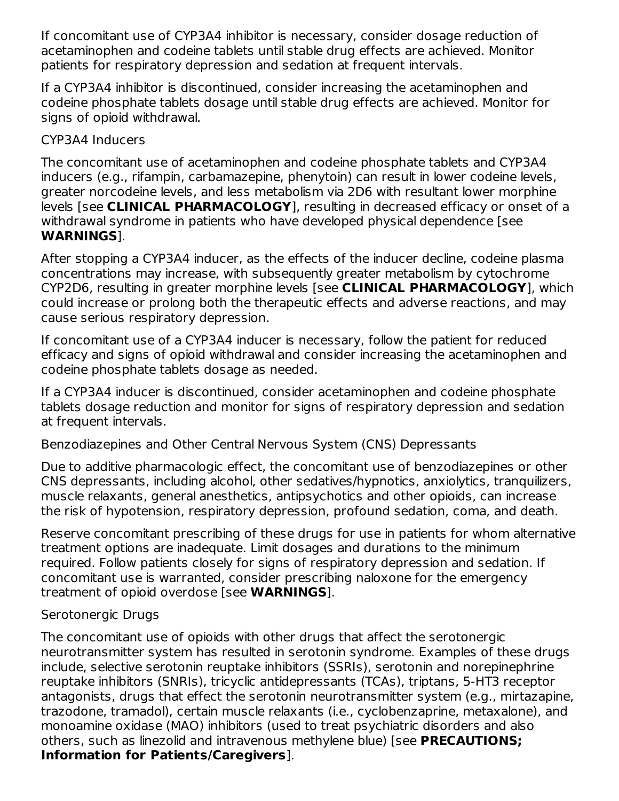If concomitant use of CYP3A4 inhibitor is necessary, consider dosage reduction of acetaminophen and codeine tablets until stable drug effects are achieved. Monitor patients for respiratory depression and sedation at frequent intervals.

If a CYP3A4 inhibitor is discontinued, consider increasing the acetaminophen and codeine phosphate tablets dosage until stable drug effects are achieved. Monitor for signs of opioid withdrawal.

#### CYP3A4 Inducers

The concomitant use of acetaminophen and codeine phosphate tablets and CYP3A4 inducers (e.g., rifampin, carbamazepine, phenytoin) can result in lower codeine levels, greater norcodeine levels, and less metabolism via 2D6 with resultant lower morphine levels [see **CLINICAL PHARMACOLOGY**], resulting in decreased efficacy or onset of a withdrawal syndrome in patients who have developed physical dependence [see **WARNINGS**].

After stopping a CYP3A4 inducer, as the effects of the inducer decline, codeine plasma concentrations may increase, with subsequently greater metabolism by cytochrome CYP2D6, resulting in greater morphine levels [see **CLINICAL PHARMACOLOGY**], which could increase or prolong both the therapeutic effects and adverse reactions, and may cause serious respiratory depression.

If concomitant use of a CYP3A4 inducer is necessary, follow the patient for reduced efficacy and signs of opioid withdrawal and consider increasing the acetaminophen and codeine phosphate tablets dosage as needed.

If a CYP3A4 inducer is discontinued, consider acetaminophen and codeine phosphate tablets dosage reduction and monitor for signs of respiratory depression and sedation at frequent intervals.

Benzodiazepines and Other Central Nervous System (CNS) Depressants

Due to additive pharmacologic effect, the concomitant use of benzodiazepines or other CNS depressants, including alcohol, other sedatives/hypnotics, anxiolytics, tranquilizers, muscle relaxants, general anesthetics, antipsychotics and other opioids, can increase the risk of hypotension, respiratory depression, profound sedation, coma, and death.

Reserve concomitant prescribing of these drugs for use in patients for whom alternative treatment options are inadequate. Limit dosages and durations to the minimum required. Follow patients closely for signs of respiratory depression and sedation. If concomitant use is warranted, consider prescribing naloxone for the emergency treatment of opioid overdose [see **WARNINGS**].

#### Serotonergic Drugs

The concomitant use of opioids with other drugs that affect the serotonergic neurotransmitter system has resulted in serotonin syndrome. Examples of these drugs include, selective serotonin reuptake inhibitors (SSRIs), serotonin and norepinephrine reuptake inhibitors (SNRIs), tricyclic antidepressants (TCAs), triptans, 5-HT3 receptor antagonists, drugs that effect the serotonin neurotransmitter system (e.g., mirtazapine, trazodone, tramadol), certain muscle relaxants (i.e., cyclobenzaprine, metaxalone), and monoamine oxidase (MAO) inhibitors (used to treat psychiatric disorders and also others, such as linezolid and intravenous methylene blue) [see **PRECAUTIONS; Information for Patients/Caregivers**].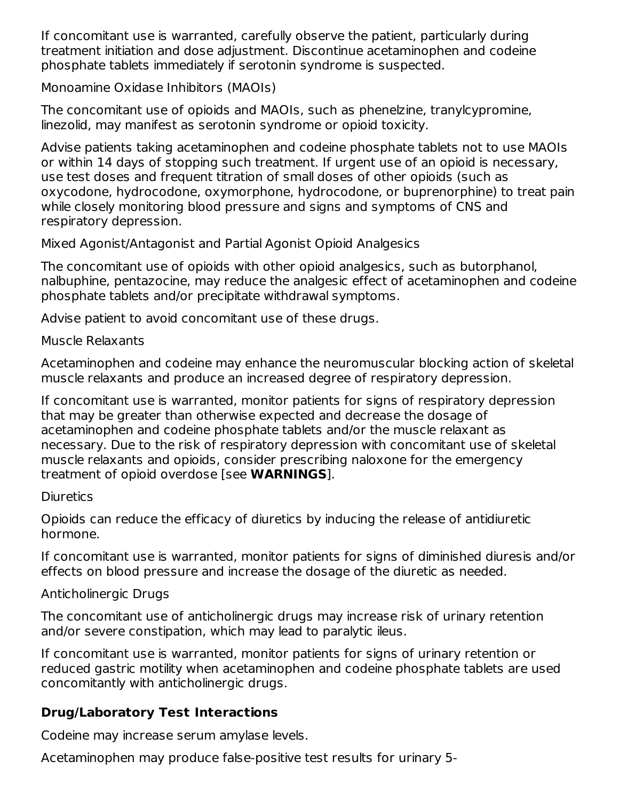If concomitant use is warranted, carefully observe the patient, particularly during treatment initiation and dose adjustment. Discontinue acetaminophen and codeine phosphate tablets immediately if serotonin syndrome is suspected.

Monoamine Oxidase Inhibitors (MAOIs)

The concomitant use of opioids and MAOIs, such as phenelzine, tranylcypromine, linezolid, may manifest as serotonin syndrome or opioid toxicity.

Advise patients taking acetaminophen and codeine phosphate tablets not to use MAOIs or within 14 days of stopping such treatment. If urgent use of an opioid is necessary, use test doses and frequent titration of small doses of other opioids (such as oxycodone, hydrocodone, oxymorphone, hydrocodone, or buprenorphine) to treat pain while closely monitoring blood pressure and signs and symptoms of CNS and respiratory depression.

Mixed Agonist/Antagonist and Partial Agonist Opioid Analgesics

The concomitant use of opioids with other opioid analgesics, such as butorphanol, nalbuphine, pentazocine, may reduce the analgesic effect of acetaminophen and codeine phosphate tablets and/or precipitate withdrawal symptoms.

Advise patient to avoid concomitant use of these drugs.

Muscle Relaxants

Acetaminophen and codeine may enhance the neuromuscular blocking action of skeletal muscle relaxants and produce an increased degree of respiratory depression.

If concomitant use is warranted, monitor patients for signs of respiratory depression that may be greater than otherwise expected and decrease the dosage of acetaminophen and codeine phosphate tablets and/or the muscle relaxant as necessary. Due to the risk of respiratory depression with concomitant use of skeletal muscle relaxants and opioids, consider prescribing naloxone for the emergency treatment of opioid overdose [see **WARNINGS**].

**Diuretics** 

Opioids can reduce the efficacy of diuretics by inducing the release of antidiuretic hormone.

If concomitant use is warranted, monitor patients for signs of diminished diuresis and/or effects on blood pressure and increase the dosage of the diuretic as needed.

Anticholinergic Drugs

The concomitant use of anticholinergic drugs may increase risk of urinary retention and/or severe constipation, which may lead to paralytic ileus.

If concomitant use is warranted, monitor patients for signs of urinary retention or reduced gastric motility when acetaminophen and codeine phosphate tablets are used concomitantly with anticholinergic drugs.

# **Drug/Laboratory Test Interactions**

Codeine may increase serum amylase levels.

Acetaminophen may produce false-positive test results for urinary 5-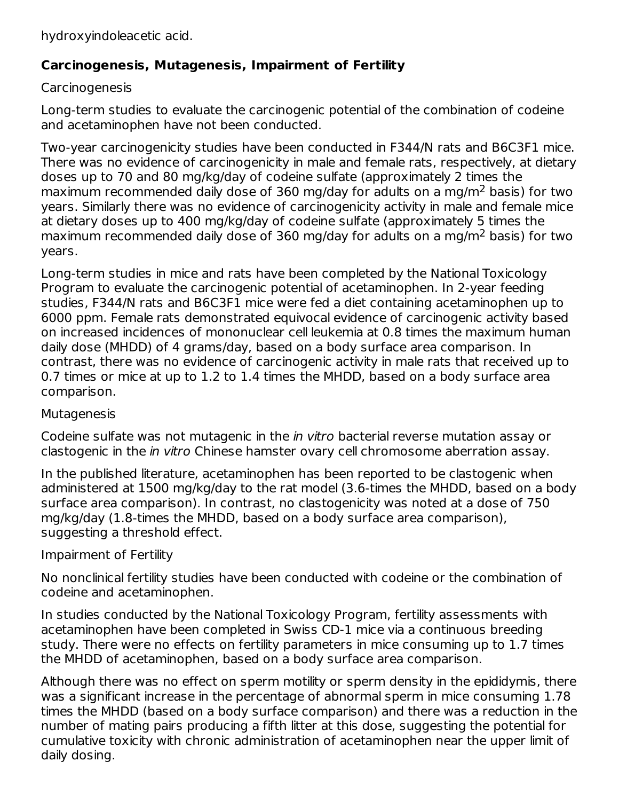hydroxyindoleacetic acid.

# **Carcinogenesis, Mutagenesis, Impairment of Fertility**

## Carcinogenesis

Long-term studies to evaluate the carcinogenic potential of the combination of codeine and acetaminophen have not been conducted.

Two-year carcinogenicity studies have been conducted in F344/N rats and B6C3F1 mice. There was no evidence of carcinogenicity in male and female rats, respectively, at dietary doses up to 70 and 80 mg/kg/day of codeine sulfate (approximately 2 times the maximum recommended daily dose of 360 mg/day for adults on a mg/m $^2$  basis) for two years. Similarly there was no evidence of carcinogenicity activity in male and female mice at dietary doses up to 400 mg/kg/day of codeine sulfate (approximately 5 times the maximum recommended daily dose of 360 mg/day for adults on a mg/m<sup>2</sup> basis) for two years.

Long-term studies in mice and rats have been completed by the National Toxicology Program to evaluate the carcinogenic potential of acetaminophen. In 2-year feeding studies, F344/N rats and B6C3F1 mice were fed a diet containing acetaminophen up to 6000 ppm. Female rats demonstrated equivocal evidence of carcinogenic activity based on increased incidences of mononuclear cell leukemia at 0.8 times the maximum human daily dose (MHDD) of 4 grams/day, based on a body surface area comparison. In contrast, there was no evidence of carcinogenic activity in male rats that received up to 0.7 times or mice at up to 1.2 to 1.4 times the MHDD, based on a body surface area comparison.

#### **Mutagenesis**

Codeine sulfate was not mutagenic in the in vitro bacterial reverse mutation assay or clastogenic in the in vitro Chinese hamster ovary cell chromosome aberration assay.

In the published literature, acetaminophen has been reported to be clastogenic when administered at 1500 mg/kg/day to the rat model (3.6-times the MHDD, based on a body surface area comparison). In contrast, no clastogenicity was noted at a dose of 750 mg/kg/day (1.8-times the MHDD, based on a body surface area comparison), suggesting a threshold effect.

# Impairment of Fertility

No nonclinical fertility studies have been conducted with codeine or the combination of codeine and acetaminophen.

In studies conducted by the National Toxicology Program, fertility assessments with acetaminophen have been completed in Swiss CD-1 mice via a continuous breeding study. There were no effects on fertility parameters in mice consuming up to 1.7 times the MHDD of acetaminophen, based on a body surface area comparison.

Although there was no effect on sperm motility or sperm density in the epididymis, there was a significant increase in the percentage of abnormal sperm in mice consuming 1.78 times the MHDD (based on a body surface comparison) and there was a reduction in the number of mating pairs producing a fifth litter at this dose, suggesting the potential for cumulative toxicity with chronic administration of acetaminophen near the upper limit of daily dosing.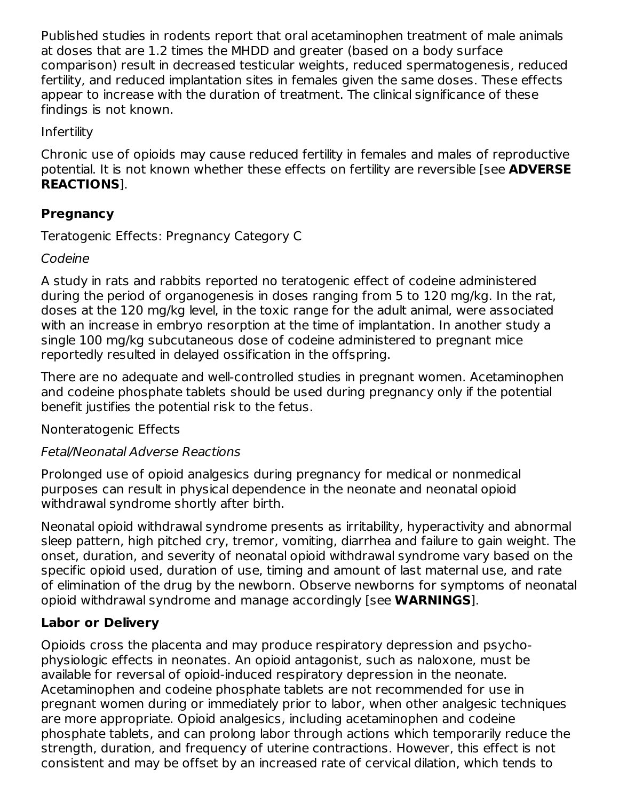Published studies in rodents report that oral acetaminophen treatment of male animals at doses that are 1.2 times the MHDD and greater (based on a body surface comparison) result in decreased testicular weights, reduced spermatogenesis, reduced fertility, and reduced implantation sites in females given the same doses. These effects appear to increase with the duration of treatment. The clinical significance of these findings is not known.

Infertility

Chronic use of opioids may cause reduced fertility in females and males of reproductive potential. It is not known whether these effects on fertility are reversible [see **ADVERSE REACTIONS**].

# **Pregnancy**

Teratogenic Effects: Pregnancy Category C

Codeine

A study in rats and rabbits reported no teratogenic effect of codeine administered during the period of organogenesis in doses ranging from 5 to 120 mg/kg. In the rat, doses at the 120 mg/kg level, in the toxic range for the adult animal, were associated with an increase in embryo resorption at the time of implantation. In another study a single 100 mg/kg subcutaneous dose of codeine administered to pregnant mice reportedly resulted in delayed ossification in the offspring.

There are no adequate and well-controlled studies in pregnant women. Acetaminophen and codeine phosphate tablets should be used during pregnancy only if the potential benefit justifies the potential risk to the fetus.

Nonteratogenic Effects

Fetal/Neonatal Adverse Reactions

Prolonged use of opioid analgesics during pregnancy for medical or nonmedical purposes can result in physical dependence in the neonate and neonatal opioid withdrawal syndrome shortly after birth.

Neonatal opioid withdrawal syndrome presents as irritability, hyperactivity and abnormal sleep pattern, high pitched cry, tremor, vomiting, diarrhea and failure to gain weight. The onset, duration, and severity of neonatal opioid withdrawal syndrome vary based on the specific opioid used, duration of use, timing and amount of last maternal use, and rate of elimination of the drug by the newborn. Observe newborns for symptoms of neonatal opioid withdrawal syndrome and manage accordingly [see **WARNINGS**].

# **Labor or Delivery**

Opioids cross the placenta and may produce respiratory depression and psychophysiologic effects in neonates. An opioid antagonist, such as naloxone, must be available for reversal of opioid-induced respiratory depression in the neonate. Acetaminophen and codeine phosphate tablets are not recommended for use in pregnant women during or immediately prior to labor, when other analgesic techniques are more appropriate. Opioid analgesics, including acetaminophen and codeine phosphate tablets, and can prolong labor through actions which temporarily reduce the strength, duration, and frequency of uterine contractions. However, this effect is not consistent and may be offset by an increased rate of cervical dilation, which tends to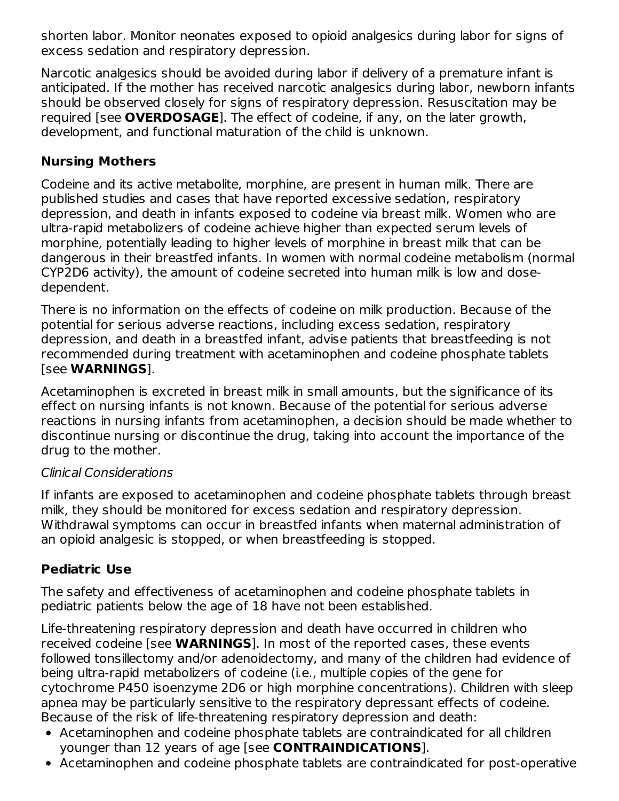shorten labor. Monitor neonates exposed to opioid analgesics during labor for signs of excess sedation and respiratory depression.

Narcotic analgesics should be avoided during labor if delivery of a premature infant is anticipated. If the mother has received narcotic analgesics during labor, newborn infants should be observed closely for signs of respiratory depression. Resuscitation may be required [see **OVERDOSAGE**]. The effect of codeine, if any, on the later growth, development, and functional maturation of the child is unknown.

# **Nursing Mothers**

Codeine and its active metabolite, morphine, are present in human milk. There are published studies and cases that have reported excessive sedation, respiratory depression, and death in infants exposed to codeine via breast milk. Women who are ultra-rapid metabolizers of codeine achieve higher than expected serum levels of morphine, potentially leading to higher levels of morphine in breast milk that can be dangerous in their breastfed infants. In women with normal codeine metabolism (normal CYP2D6 activity), the amount of codeine secreted into human milk is low and dosedependent.

There is no information on the effects of codeine on milk production. Because of the potential for serious adverse reactions, including excess sedation, respiratory depression, and death in a breastfed infant, advise patients that breastfeeding is not recommended during treatment with acetaminophen and codeine phosphate tablets [see **WARNINGS**].

Acetaminophen is excreted in breast milk in small amounts, but the significance of its effect on nursing infants is not known. Because of the potential for serious adverse reactions in nursing infants from acetaminophen, a decision should be made whether to discontinue nursing or discontinue the drug, taking into account the importance of the drug to the mother.

# Clinical Considerations

If infants are exposed to acetaminophen and codeine phosphate tablets through breast milk, they should be monitored for excess sedation and respiratory depression. Withdrawal symptoms can occur in breastfed infants when maternal administration of an opioid analgesic is stopped, or when breastfeeding is stopped.

# **Pediatric Use**

The safety and effectiveness of acetaminophen and codeine phosphate tablets in pediatric patients below the age of 18 have not been established.

Life-threatening respiratory depression and death have occurred in children who received codeine [see **WARNINGS**]. In most of the reported cases, these events followed tonsillectomy and/or adenoidectomy, and many of the children had evidence of being ultra-rapid metabolizers of codeine (i.e., multiple copies of the gene for cytochrome P450 isoenzyme 2D6 or high morphine concentrations). Children with sleep apnea may be particularly sensitive to the respiratory depressant effects of codeine. Because of the risk of life-threatening respiratory depression and death:

- Acetaminophen and codeine phosphate tablets are contraindicated for all children younger than 12 years of age [see **CONTRAINDICATIONS**].
- Acetaminophen and codeine phosphate tablets are contraindicated for post-operative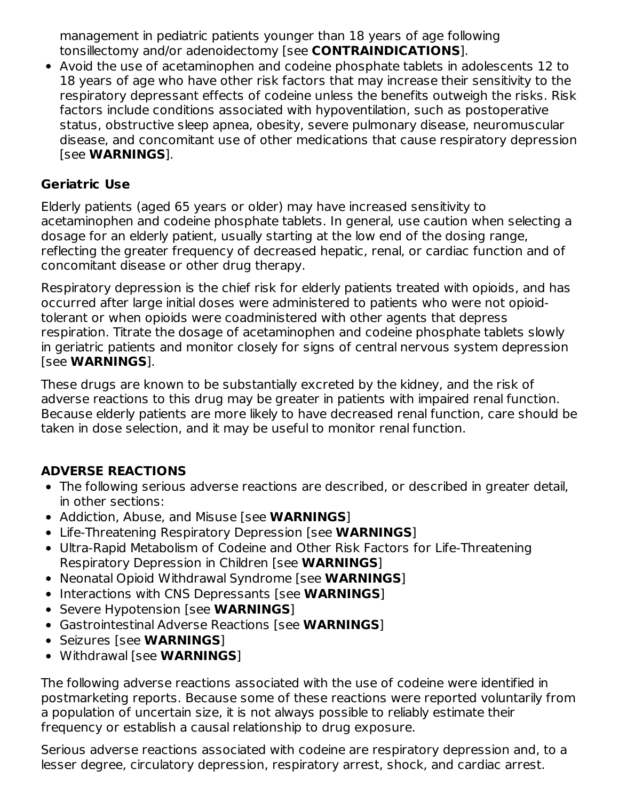management in pediatric patients younger than 18 years of age following tonsillectomy and/or adenoidectomy [see **CONTRAINDICATIONS**].

Avoid the use of acetaminophen and codeine phosphate tablets in adolescents 12 to 18 years of age who have other risk factors that may increase their sensitivity to the respiratory depressant effects of codeine unless the benefits outweigh the risks. Risk factors include conditions associated with hypoventilation, such as postoperative status, obstructive sleep apnea, obesity, severe pulmonary disease, neuromuscular disease, and concomitant use of other medications that cause respiratory depression [see **WARNINGS**].

## **Geriatric Use**

Elderly patients (aged 65 years or older) may have increased sensitivity to acetaminophen and codeine phosphate tablets. In general, use caution when selecting a dosage for an elderly patient, usually starting at the low end of the dosing range, reflecting the greater frequency of decreased hepatic, renal, or cardiac function and of concomitant disease or other drug therapy.

Respiratory depression is the chief risk for elderly patients treated with opioids, and has occurred after large initial doses were administered to patients who were not opioidtolerant or when opioids were coadministered with other agents that depress respiration. Titrate the dosage of acetaminophen and codeine phosphate tablets slowly in geriatric patients and monitor closely for signs of central nervous system depression [see **WARNINGS**].

These drugs are known to be substantially excreted by the kidney, and the risk of adverse reactions to this drug may be greater in patients with impaired renal function. Because elderly patients are more likely to have decreased renal function, care should be taken in dose selection, and it may be useful to monitor renal function.

# **ADVERSE REACTIONS**

- The following serious adverse reactions are described, or described in greater detail, in other sections:
- Addiction, Abuse, and Misuse [see **WARNINGS**]
- Life-Threatening Respiratory Depression [see **WARNINGS**]
- Ultra-Rapid Metabolism of Codeine and Other Risk Factors for Life-Threatening Respiratory Depression in Children [see **WARNINGS**]
- Neonatal Opioid Withdrawal Syndrome [see **WARNINGS**]
- **Interactions with CNS Depressants [see WARNINGS]**
- Severe Hypotension [see **WARNINGS**]
- Gastrointestinal Adverse Reactions [see **WARNINGS**]
- Seizures [see **WARNINGS**]
- Withdrawal [see **WARNINGS**]

The following adverse reactions associated with the use of codeine were identified in postmarketing reports. Because some of these reactions were reported voluntarily from a population of uncertain size, it is not always possible to reliably estimate their frequency or establish a causal relationship to drug exposure.

Serious adverse reactions associated with codeine are respiratory depression and, to a lesser degree, circulatory depression, respiratory arrest, shock, and cardiac arrest.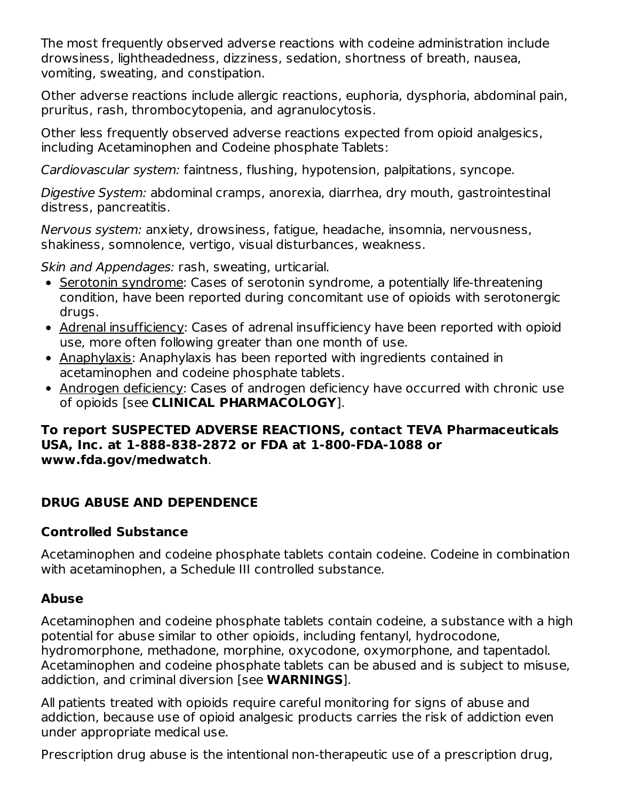The most frequently observed adverse reactions with codeine administration include drowsiness, lightheadedness, dizziness, sedation, shortness of breath, nausea, vomiting, sweating, and constipation.

Other adverse reactions include allergic reactions, euphoria, dysphoria, abdominal pain, pruritus, rash, thrombocytopenia, and agranulocytosis.

Other less frequently observed adverse reactions expected from opioid analgesics, including Acetaminophen and Codeine phosphate Tablets:

Cardiovascular system: faintness, flushing, hypotension, palpitations, syncope.

Digestive System: abdominal cramps, anorexia, diarrhea, dry mouth, gastrointestinal distress, pancreatitis.

Nervous system: anxiety, drowsiness, fatigue, headache, insomnia, nervousness, shakiness, somnolence, vertigo, visual disturbances, weakness.

Skin and Appendages: rash, sweating, urticarial.

- Serotonin syndrome: Cases of serotonin syndrome, a potentially life-threatening condition, have been reported during concomitant use of opioids with serotonergic drugs.
- Adrenal insufficiency: Cases of adrenal insufficiency have been reported with opioid use, more often following greater than one month of use.
- Anaphylaxis: Anaphylaxis has been reported with ingredients contained in acetaminophen and codeine phosphate tablets.
- Androgen deficiency: Cases of androgen deficiency have occurred with chronic use of opioids [see **CLINICAL PHARMACOLOGY**].

#### **To report SUSPECTED ADVERSE REACTIONS, contact TEVA Pharmaceuticals USA, Inc. at 1-888-838-2872 or FDA at 1-800-FDA-1088 or www.fda.gov/medwatch**.

# **DRUG ABUSE AND DEPENDENCE**

#### **Controlled Substance**

Acetaminophen and codeine phosphate tablets contain codeine. Codeine in combination with acetaminophen, a Schedule III controlled substance.

# **Abuse**

Acetaminophen and codeine phosphate tablets contain codeine, a substance with a high potential for abuse similar to other opioids, including fentanyl, hydrocodone, hydromorphone, methadone, morphine, oxycodone, oxymorphone, and tapentadol. Acetaminophen and codeine phosphate tablets can be abused and is subject to misuse, addiction, and criminal diversion [see **WARNINGS**].

All patients treated with opioids require careful monitoring for signs of abuse and addiction, because use of opioid analgesic products carries the risk of addiction even under appropriate medical use.

Prescription drug abuse is the intentional non-therapeutic use of a prescription drug,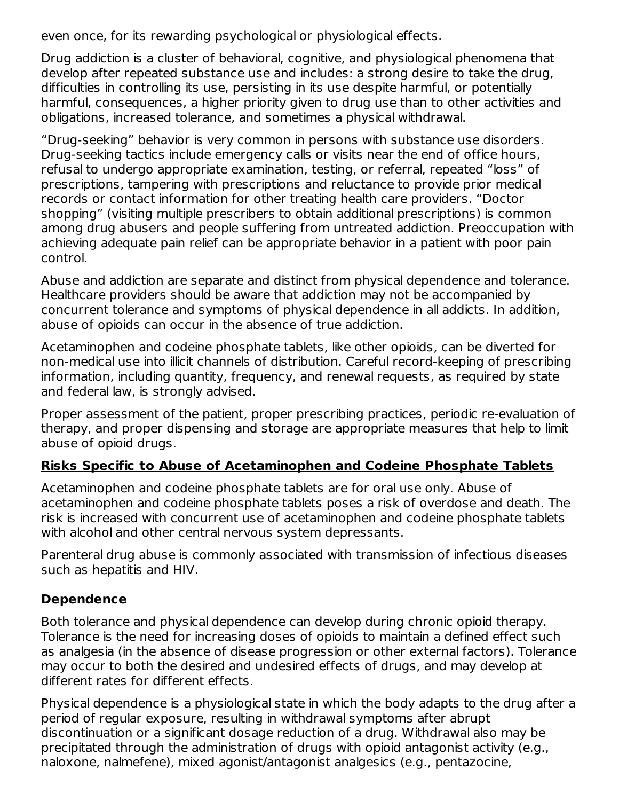even once, for its rewarding psychological or physiological effects.

Drug addiction is a cluster of behavioral, cognitive, and physiological phenomena that develop after repeated substance use and includes: a strong desire to take the drug, difficulties in controlling its use, persisting in its use despite harmful, or potentially harmful, consequences, a higher priority given to drug use than to other activities and obligations, increased tolerance, and sometimes a physical withdrawal.

"Drug-seeking" behavior is very common in persons with substance use disorders. Drug-seeking tactics include emergency calls or visits near the end of office hours, refusal to undergo appropriate examination, testing, or referral, repeated "loss" of prescriptions, tampering with prescriptions and reluctance to provide prior medical records or contact information for other treating health care providers. "Doctor shopping" (visiting multiple prescribers to obtain additional prescriptions) is common among drug abusers and people suffering from untreated addiction. Preoccupation with achieving adequate pain relief can be appropriate behavior in a patient with poor pain control.

Abuse and addiction are separate and distinct from physical dependence and tolerance. Healthcare providers should be aware that addiction may not be accompanied by concurrent tolerance and symptoms of physical dependence in all addicts. In addition, abuse of opioids can occur in the absence of true addiction.

Acetaminophen and codeine phosphate tablets, like other opioids, can be diverted for non-medical use into illicit channels of distribution. Careful record-keeping of prescribing information, including quantity, frequency, and renewal requests, as required by state and federal law, is strongly advised.

Proper assessment of the patient, proper prescribing practices, periodic re-evaluation of therapy, and proper dispensing and storage are appropriate measures that help to limit abuse of opioid drugs.

# **Risks Specific to Abuse of Acetaminophen and Codeine Phosphate Tablets**

Acetaminophen and codeine phosphate tablets are for oral use only. Abuse of acetaminophen and codeine phosphate tablets poses a risk of overdose and death. The risk is increased with concurrent use of acetaminophen and codeine phosphate tablets with alcohol and other central nervous system depressants.

Parenteral drug abuse is commonly associated with transmission of infectious diseases such as hepatitis and HIV.

# **Dependence**

Both tolerance and physical dependence can develop during chronic opioid therapy. Tolerance is the need for increasing doses of opioids to maintain a defined effect such as analgesia (in the absence of disease progression or other external factors). Tolerance may occur to both the desired and undesired effects of drugs, and may develop at different rates for different effects.

Physical dependence is a physiological state in which the body adapts to the drug after a period of regular exposure, resulting in withdrawal symptoms after abrupt discontinuation or a significant dosage reduction of a drug. Withdrawal also may be precipitated through the administration of drugs with opioid antagonist activity (e.g., naloxone, nalmefene), mixed agonist/antagonist analgesics (e.g., pentazocine,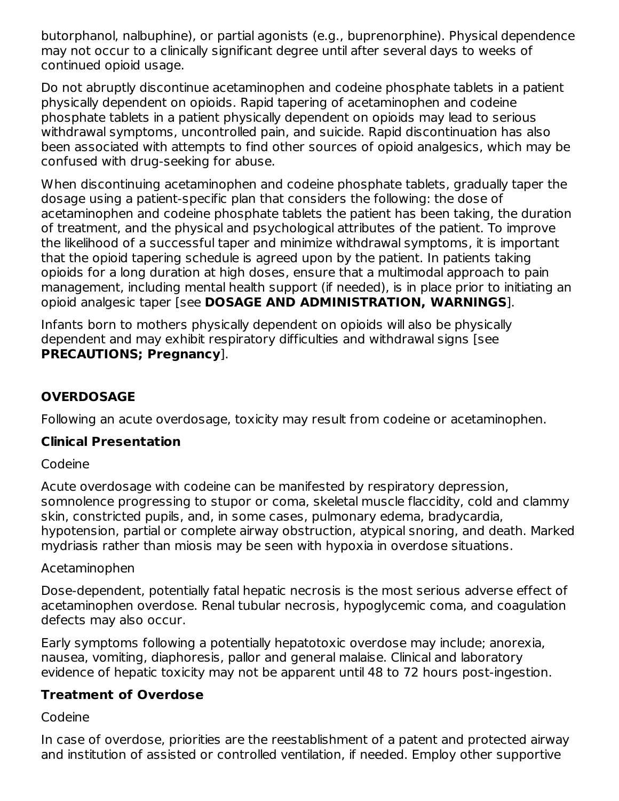butorphanol, nalbuphine), or partial agonists (e.g., buprenorphine). Physical dependence may not occur to a clinically significant degree until after several days to weeks of continued opioid usage.

Do not abruptly discontinue acetaminophen and codeine phosphate tablets in a patient physically dependent on opioids. Rapid tapering of acetaminophen and codeine phosphate tablets in a patient physically dependent on opioids may lead to serious withdrawal symptoms, uncontrolled pain, and suicide. Rapid discontinuation has also been associated with attempts to find other sources of opioid analgesics, which may be confused with drug-seeking for abuse.

When discontinuing acetaminophen and codeine phosphate tablets, gradually taper the dosage using a patient-specific plan that considers the following: the dose of acetaminophen and codeine phosphate tablets the patient has been taking, the duration of treatment, and the physical and psychological attributes of the patient. To improve the likelihood of a successful taper and minimize withdrawal symptoms, it is important that the opioid tapering schedule is agreed upon by the patient. In patients taking opioids for a long duration at high doses, ensure that a multimodal approach to pain management, including mental health support (if needed), is in place prior to initiating an opioid analgesic taper [see **DOSAGE AND ADMINISTRATION, WARNINGS**].

Infants born to mothers physically dependent on opioids will also be physically dependent and may exhibit respiratory difficulties and withdrawal signs [see **PRECAUTIONS; Pregnancy**].

# **OVERDOSAGE**

Following an acute overdosage, toxicity may result from codeine or acetaminophen.

# **Clinical Presentation**

#### Codeine

Acute overdosage with codeine can be manifested by respiratory depression, somnolence progressing to stupor or coma, skeletal muscle flaccidity, cold and clammy skin, constricted pupils, and, in some cases, pulmonary edema, bradycardia, hypotension, partial or complete airway obstruction, atypical snoring, and death. Marked mydriasis rather than miosis may be seen with hypoxia in overdose situations.

#### Acetaminophen

Dose-dependent, potentially fatal hepatic necrosis is the most serious adverse effect of acetaminophen overdose. Renal tubular necrosis, hypoglycemic coma, and coagulation defects may also occur.

Early symptoms following a potentially hepatotoxic overdose may include; anorexia, nausea, vomiting, diaphoresis, pallor and general malaise. Clinical and laboratory evidence of hepatic toxicity may not be apparent until 48 to 72 hours post-ingestion.

# **Treatment of Overdose**

#### Codeine

In case of overdose, priorities are the reestablishment of a patent and protected airway and institution of assisted or controlled ventilation, if needed. Employ other supportive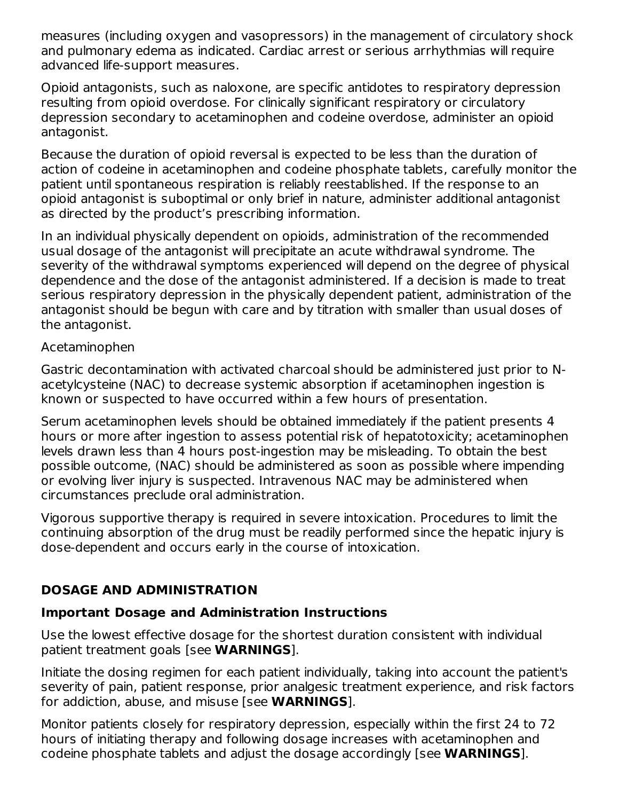measures (including oxygen and vasopressors) in the management of circulatory shock and pulmonary edema as indicated. Cardiac arrest or serious arrhythmias will require advanced life-support measures.

Opioid antagonists, such as naloxone, are specific antidotes to respiratory depression resulting from opioid overdose. For clinically significant respiratory or circulatory depression secondary to acetaminophen and codeine overdose, administer an opioid antagonist.

Because the duration of opioid reversal is expected to be less than the duration of action of codeine in acetaminophen and codeine phosphate tablets, carefully monitor the patient until spontaneous respiration is reliably reestablished. If the response to an opioid antagonist is suboptimal or only brief in nature, administer additional antagonist as directed by the product's prescribing information.

In an individual physically dependent on opioids, administration of the recommended usual dosage of the antagonist will precipitate an acute withdrawal syndrome. The severity of the withdrawal symptoms experienced will depend on the degree of physical dependence and the dose of the antagonist administered. If a decision is made to treat serious respiratory depression in the physically dependent patient, administration of the antagonist should be begun with care and by titration with smaller than usual doses of the antagonist.

#### Acetaminophen

Gastric decontamination with activated charcoal should be administered just prior to Nacetylcysteine (NAC) to decrease systemic absorption if acetaminophen ingestion is known or suspected to have occurred within a few hours of presentation.

Serum acetaminophen levels should be obtained immediately if the patient presents 4 hours or more after ingestion to assess potential risk of hepatotoxicity; acetaminophen levels drawn less than 4 hours post-ingestion may be misleading. To obtain the best possible outcome, (NAC) should be administered as soon as possible where impending or evolving liver injury is suspected. Intravenous NAC may be administered when circumstances preclude oral administration.

Vigorous supportive therapy is required in severe intoxication. Procedures to limit the continuing absorption of the drug must be readily performed since the hepatic injury is dose-dependent and occurs early in the course of intoxication.

# **DOSAGE AND ADMINISTRATION**

# **Important Dosage and Administration Instructions**

Use the lowest effective dosage for the shortest duration consistent with individual patient treatment goals [see **WARNINGS**].

Initiate the dosing regimen for each patient individually, taking into account the patient's severity of pain, patient response, prior analgesic treatment experience, and risk factors for addiction, abuse, and misuse [see **WARNINGS**].

Monitor patients closely for respiratory depression, especially within the first 24 to 72 hours of initiating therapy and following dosage increases with acetaminophen and codeine phosphate tablets and adjust the dosage accordingly [see **WARNINGS**].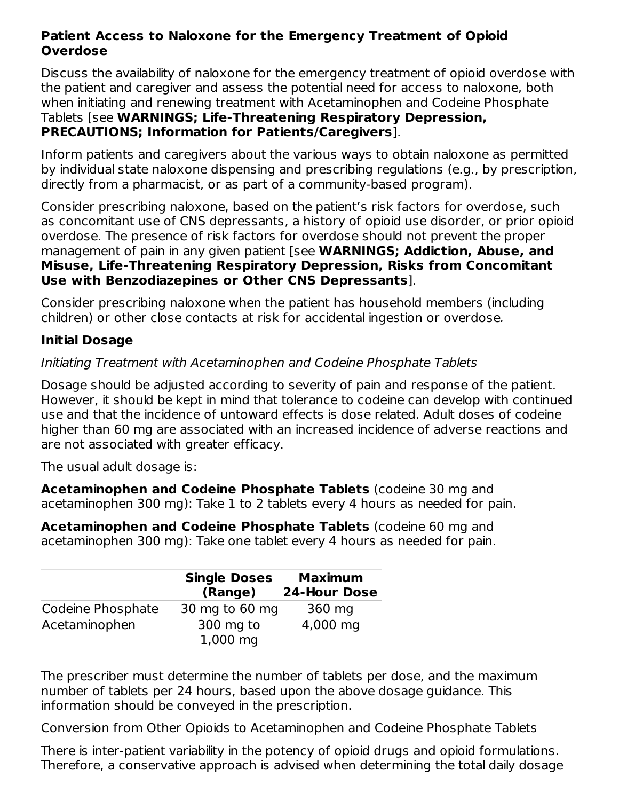## **Patient Access to Naloxone for the Emergency Treatment of Opioid Overdose**

Discuss the availability of naloxone for the emergency treatment of opioid overdose with the patient and caregiver and assess the potential need for access to naloxone, both when initiating and renewing treatment with Acetaminophen and Codeine Phosphate Tablets [see **WARNINGS; Life-Threatening Respiratory Depression, PRECAUTIONS; Information for Patients/Caregivers**].

Inform patients and caregivers about the various ways to obtain naloxone as permitted by individual state naloxone dispensing and prescribing regulations (e.g., by prescription, directly from a pharmacist, or as part of a community-based program).

Consider prescribing naloxone, based on the patient's risk factors for overdose, such as concomitant use of CNS depressants, a history of opioid use disorder, or prior opioid overdose. The presence of risk factors for overdose should not prevent the proper management of pain in any given patient [see **WARNINGS; Addiction, Abuse, and Misuse, Life-Threatening Respiratory Depression, Risks from Concomitant Use with Benzodiazepines or Other CNS Depressants**].

Consider prescribing naloxone when the patient has household members (including children) or other close contacts at risk for accidental ingestion or overdose.

# **Initial Dosage**

## Initiating Treatment with Acetaminophen and Codeine Phosphate Tablets

Dosage should be adjusted according to severity of pain and response of the patient. However, it should be kept in mind that tolerance to codeine can develop with continued use and that the incidence of untoward effects is dose related. Adult doses of codeine higher than 60 mg are associated with an increased incidence of adverse reactions and are not associated with greater efficacy.

The usual adult dosage is:

**Acetaminophen and Codeine Phosphate Tablets** (codeine 30 mg and acetaminophen 300 mg): Take 1 to 2 tablets every 4 hours as needed for pain.

**Acetaminophen and Codeine Phosphate Tablets** (codeine 60 mg and acetaminophen 300 mg): Take one tablet every 4 hours as needed for pain.

|                   | <b>Single Doses</b><br>(Range) | <b>Maximum</b><br><b>24-Hour Dose</b> |
|-------------------|--------------------------------|---------------------------------------|
| Codeine Phosphate | 30 mg to 60 mg                 | 360 mg                                |
| Acetaminophen     | 300 mg to<br>1,000 mg          | 4,000 mg                              |

The prescriber must determine the number of tablets per dose, and the maximum number of tablets per 24 hours, based upon the above dosage guidance. This information should be conveyed in the prescription.

Conversion from Other Opioids to Acetaminophen and Codeine Phosphate Tablets

There is inter-patient variability in the potency of opioid drugs and opioid formulations. Therefore, a conservative approach is advised when determining the total daily dosage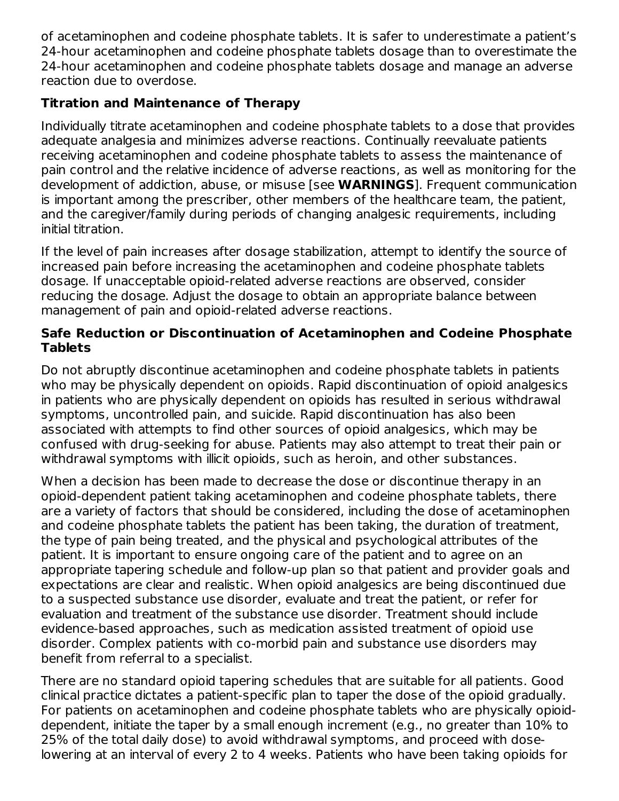of acetaminophen and codeine phosphate tablets. It is safer to underestimate a patient's 24-hour acetaminophen and codeine phosphate tablets dosage than to overestimate the 24-hour acetaminophen and codeine phosphate tablets dosage and manage an adverse reaction due to overdose.

# **Titration and Maintenance of Therapy**

Individually titrate acetaminophen and codeine phosphate tablets to a dose that provides adequate analgesia and minimizes adverse reactions. Continually reevaluate patients receiving acetaminophen and codeine phosphate tablets to assess the maintenance of pain control and the relative incidence of adverse reactions, as well as monitoring for the development of addiction, abuse, or misuse [see **WARNINGS**]. Frequent communication is important among the prescriber, other members of the healthcare team, the patient, and the caregiver/family during periods of changing analgesic requirements, including initial titration.

If the level of pain increases after dosage stabilization, attempt to identify the source of increased pain before increasing the acetaminophen and codeine phosphate tablets dosage. If unacceptable opioid-related adverse reactions are observed, consider reducing the dosage. Adjust the dosage to obtain an appropriate balance between management of pain and opioid-related adverse reactions.

## **Safe Reduction or Discontinuation of Acetaminophen and Codeine Phosphate Tablets**

Do not abruptly discontinue acetaminophen and codeine phosphate tablets in patients who may be physically dependent on opioids. Rapid discontinuation of opioid analgesics in patients who are physically dependent on opioids has resulted in serious withdrawal symptoms, uncontrolled pain, and suicide. Rapid discontinuation has also been associated with attempts to find other sources of opioid analgesics, which may be confused with drug-seeking for abuse. Patients may also attempt to treat their pain or withdrawal symptoms with illicit opioids, such as heroin, and other substances.

When a decision has been made to decrease the dose or discontinue therapy in an opioid-dependent patient taking acetaminophen and codeine phosphate tablets, there are a variety of factors that should be considered, including the dose of acetaminophen and codeine phosphate tablets the patient has been taking, the duration of treatment, the type of pain being treated, and the physical and psychological attributes of the patient. It is important to ensure ongoing care of the patient and to agree on an appropriate tapering schedule and follow-up plan so that patient and provider goals and expectations are clear and realistic. When opioid analgesics are being discontinued due to a suspected substance use disorder, evaluate and treat the patient, or refer for evaluation and treatment of the substance use disorder. Treatment should include evidence-based approaches, such as medication assisted treatment of opioid use disorder. Complex patients with co-morbid pain and substance use disorders may benefit from referral to a specialist.

There are no standard opioid tapering schedules that are suitable for all patients. Good clinical practice dictates a patient-specific plan to taper the dose of the opioid gradually. For patients on acetaminophen and codeine phosphate tablets who are physically opioiddependent, initiate the taper by a small enough increment (e.g., no greater than 10% to 25% of the total daily dose) to avoid withdrawal symptoms, and proceed with doselowering at an interval of every 2 to 4 weeks. Patients who have been taking opioids for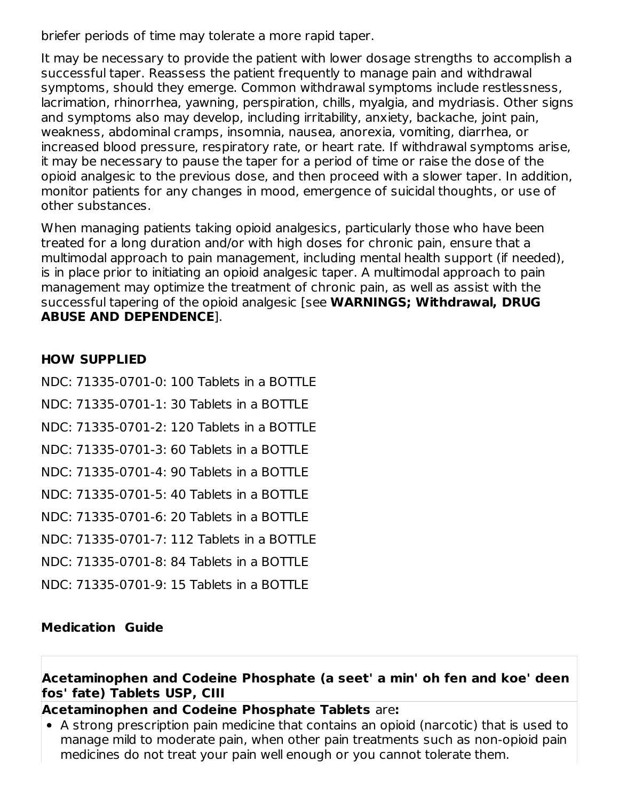briefer periods of time may tolerate a more rapid taper.

It may be necessary to provide the patient with lower dosage strengths to accomplish a successful taper. Reassess the patient frequently to manage pain and withdrawal symptoms, should they emerge. Common withdrawal symptoms include restlessness, lacrimation, rhinorrhea, yawning, perspiration, chills, myalgia, and mydriasis. Other signs and symptoms also may develop, including irritability, anxiety, backache, joint pain, weakness, abdominal cramps, insomnia, nausea, anorexia, vomiting, diarrhea, or increased blood pressure, respiratory rate, or heart rate. If withdrawal symptoms arise, it may be necessary to pause the taper for a period of time or raise the dose of the opioid analgesic to the previous dose, and then proceed with a slower taper. In addition, monitor patients for any changes in mood, emergence of suicidal thoughts, or use of other substances.

When managing patients taking opioid analgesics, particularly those who have been treated for a long duration and/or with high doses for chronic pain, ensure that a multimodal approach to pain management, including mental health support (if needed), is in place prior to initiating an opioid analgesic taper. A multimodal approach to pain management may optimize the treatment of chronic pain, as well as assist with the successful tapering of the opioid analgesic [see **WARNINGS; Withdrawal, DRUG ABUSE AND DEPENDENCE**].

## **HOW SUPPLIED**

NDC: 71335-0701-0: 100 Tablets in a BOTTLE NDC: 71335-0701-1: 30 Tablets in a BOTTLE NDC: 71335-0701-2: 120 Tablets in a BOTTLE NDC: 71335-0701-3: 60 Tablets in a BOTTLE NDC: 71335-0701-4: 90 Tablets in a BOTTLE NDC: 71335-0701-5: 40 Tablets in a BOTTLE NDC: 71335-0701-6: 20 Tablets in a BOTTLE NDC: 71335-0701-7: 112 Tablets in a BOTTLE NDC: 71335-0701-8: 84 Tablets in a BOTTLE

NDC: 71335-0701-9: 15 Tablets in a BOTTLE

#### **Medication Guide**

# **Acetaminophen and Codeine Phosphate (a seet' a min' oh fen and koe' deen fos' fate) Tablets USP, CIII**

#### **Acetaminophen and Codeine Phosphate Tablets** are**:**

A strong prescription pain medicine that contains an opioid (narcotic) that is used to manage mild to moderate pain, when other pain treatments such as non-opioid pain medicines do not treat your pain well enough or you cannot tolerate them.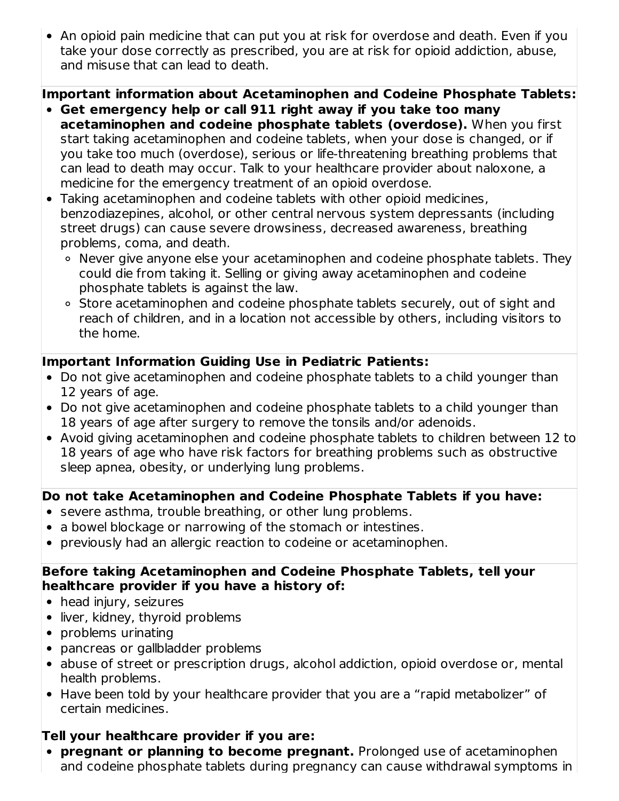• An opioid pain medicine that can put you at risk for overdose and death. Even if you take your dose correctly as prescribed, you are at risk for opioid addiction, abuse, and misuse that can lead to death.

# **Important information about Acetaminophen and Codeine Phosphate Tablets:**

- **Get emergency help or call 911 right away if you take too many acetaminophen and codeine phosphate tablets (overdose).** When you first start taking acetaminophen and codeine tablets, when your dose is changed, or if you take too much (overdose), serious or life-threatening breathing problems that can lead to death may occur. Talk to your healthcare provider about naloxone, a medicine for the emergency treatment of an opioid overdose.
- Taking acetaminophen and codeine tablets with other opioid medicines, benzodiazepines, alcohol, or other central nervous system depressants (including street drugs) can cause severe drowsiness, decreased awareness, breathing problems, coma, and death.
	- Never give anyone else your acetaminophen and codeine phosphate tablets. They could die from taking it. Selling or giving away acetaminophen and codeine phosphate tablets is against the law.
	- Store acetaminophen and codeine phosphate tablets securely, out of sight and reach of children, and in a location not accessible by others, including visitors to the home.

# **Important Information Guiding Use in Pediatric Patients:**

- Do not give acetaminophen and codeine phosphate tablets to a child younger than 12 years of age.
- Do not give acetaminophen and codeine phosphate tablets to a child younger than 18 years of age after surgery to remove the tonsils and/or adenoids.
- Avoid giving acetaminophen and codeine phosphate tablets to children between 12 to 18 years of age who have risk factors for breathing problems such as obstructive sleep apnea, obesity, or underlying lung problems.

# **Do not take Acetaminophen and Codeine Phosphate Tablets if you have:**

- severe asthma, trouble breathing, or other lung problems.
- a bowel blockage or narrowing of the stomach or intestines.
- previously had an allergic reaction to codeine or acetaminophen.

#### **Before taking Acetaminophen and Codeine Phosphate Tablets, tell your healthcare provider if you have a history of:**

- head injury, seizures
- liver, kidney, thyroid problems
- problems urinating
- pancreas or gallbladder problems
- abuse of street or prescription drugs, alcohol addiction, opioid overdose or, mental health problems.
- Have been told by your healthcare provider that you are a "rapid metabolizer" of certain medicines.

# **Tell your healthcare provider if you are:**

**pregnant or planning to become pregnant.** Prolonged use of acetaminophen and codeine phosphate tablets during pregnancy can cause withdrawal symptoms in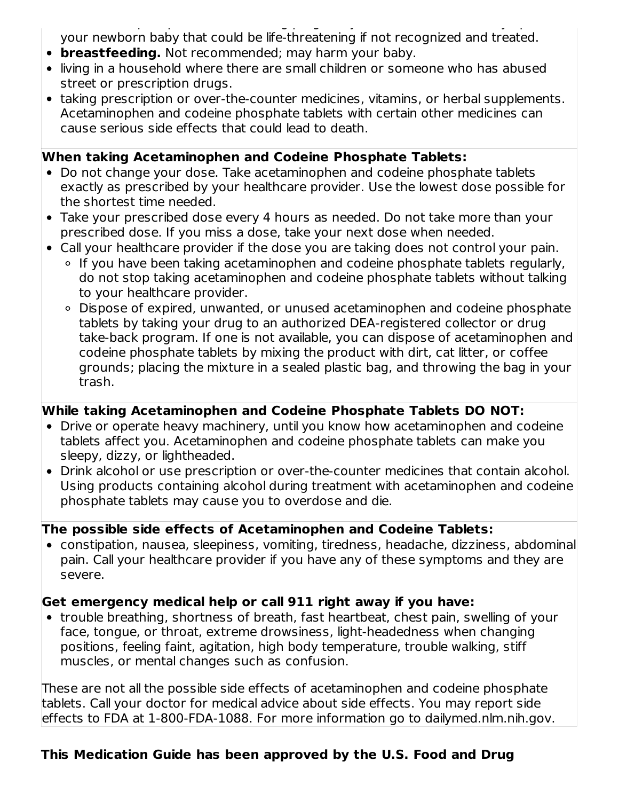and codeine phosphate tablets during pregnancy can cause withdrawal symptoms in your newborn baby that could be life-threatening if not recognized and treated.

- **breastfeeding.** Not recommended; may harm your baby.
- living in a household where there are small children or someone who has abused street or prescription drugs.
- taking prescription or over-the-counter medicines, vitamins, or herbal supplements. Acetaminophen and codeine phosphate tablets with certain other medicines can cause serious side effects that could lead to death.

# **When taking Acetaminophen and Codeine Phosphate Tablets:**

- Do not change your dose. Take acetaminophen and codeine phosphate tablets exactly as prescribed by your healthcare provider. Use the lowest dose possible for the shortest time needed.
- Take your prescribed dose every 4 hours as needed. Do not take more than your prescribed dose. If you miss a dose, take your next dose when needed.
- Call your healthcare provider if the dose you are taking does not control your pain.
	- If you have been taking acetaminophen and codeine phosphate tablets regularly, do not stop taking acetaminophen and codeine phosphate tablets without talking to your healthcare provider.
	- Dispose of expired, unwanted, or unused acetaminophen and codeine phosphate tablets by taking your drug to an authorized DEA-registered collector or drug take-back program. If one is not available, you can dispose of acetaminophen and codeine phosphate tablets by mixing the product with dirt, cat litter, or coffee grounds; placing the mixture in a sealed plastic bag, and throwing the bag in your trash.

# **While taking Acetaminophen and Codeine Phosphate Tablets DO NOT:**

- Drive or operate heavy machinery, until you know how acetaminophen and codeine tablets affect you. Acetaminophen and codeine phosphate tablets can make you sleepy, dizzy, or lightheaded.
- Drink alcohol or use prescription or over-the-counter medicines that contain alcohol. Using products containing alcohol during treatment with acetaminophen and codeine phosphate tablets may cause you to overdose and die.

# **The possible side effects of Acetaminophen and Codeine Tablets:**

constipation, nausea, sleepiness, vomiting, tiredness, headache, dizziness, abdominal pain. Call your healthcare provider if you have any of these symptoms and they are severe.

# **Get emergency medical help or call 911 right away if you have:**

trouble breathing, shortness of breath, fast heartbeat, chest pain, swelling of your face, tongue, or throat, extreme drowsiness, light-headedness when changing positions, feeling faint, agitation, high body temperature, trouble walking, stiff muscles, or mental changes such as confusion.

These are not all the possible side effects of acetaminophen and codeine phosphate tablets. Call your doctor for medical advice about side effects. You may report side effects to FDA at 1-800-FDA-1088. For more information go to dailymed.nlm.nih.gov.

# **This Medication Guide has been approved by the U.S. Food and Drug**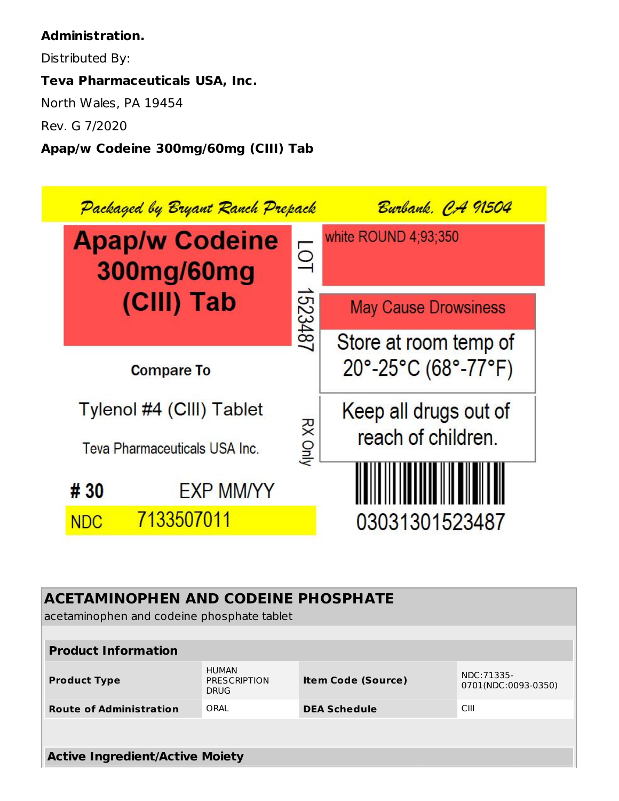# **Administration.**

Distributed By:

# **Teva Pharmaceuticals USA, Inc.**

North Wales, PA 19454

Rev. G 7/2020

# **Apap/w Codeine 300mg/60mg (CIII) Tab**



| <b>ACETAMINOPHEN AND CODEINE PHOSPHATE</b><br>acetaminophen and codeine phosphate tablet |                                                    |                           |                                    |  |
|------------------------------------------------------------------------------------------|----------------------------------------------------|---------------------------|------------------------------------|--|
| <b>Product Information</b>                                                               |                                                    |                           |                                    |  |
| <b>Product Type</b>                                                                      | <b>HUMAN</b><br><b>PRESCRIPTION</b><br><b>DRUG</b> | <b>Item Code (Source)</b> | NDC: 71335-<br>0701(NDC:0093-0350) |  |
| <b>Route of Administration</b>                                                           | ORAL                                               | <b>DEA Schedule</b>       | CIII                               |  |
|                                                                                          |                                                    |                           |                                    |  |
| <b>Active Ingredient/Active Moiety</b>                                                   |                                                    |                           |                                    |  |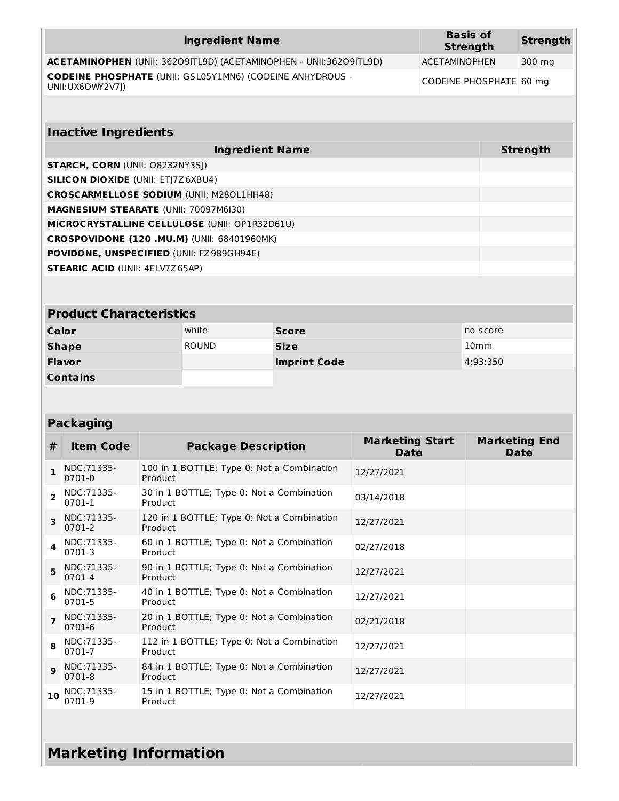| <b>Ingredient Name</b>                                                               | <b>Basis of</b><br><b>Strength</b> | <b>Strength</b> |
|--------------------------------------------------------------------------------------|------------------------------------|-----------------|
| <b>ACETAMINOPHEN (UNII: 36209ITL9D) (ACETAMINOPHEN - UNII:36209ITL9D)</b>            | ACETAMINOPHEN                      | 300 mg          |
| <b>CODEINE PHOSPHATE (UNII: GSL05Y1MN6) (CODEINE ANHYDROUS -</b><br>UNII:UX6OWY2V7I) | CODEINE PHOSPHATE 60 mg            |                 |

| <b>Inactive Ingredients</b>                          |                 |  |  |  |
|------------------------------------------------------|-----------------|--|--|--|
| <b>Ingredient Name</b>                               | <b>Strength</b> |  |  |  |
| <b>STARCH, CORN (UNII: O8232NY3SI)</b>               |                 |  |  |  |
| <b>SILICON DIOXIDE (UNII: ETJ7Z6XBU4)</b>            |                 |  |  |  |
| <b>CROSCARMELLOSE SODIUM (UNII: M280L1HH48)</b>      |                 |  |  |  |
| <b>MAGNESIUM STEARATE (UNII: 70097M6I30)</b>         |                 |  |  |  |
| <b>MICROCRYSTALLINE CELLULOSE (UNII: OP1R32D61U)</b> |                 |  |  |  |
| <b>CROSPOVIDONE (120 .MU.M) (UNII: 68401960MK)</b>   |                 |  |  |  |
| <b>POVIDONE, UNSPECIFIED (UNII: FZ989GH94E)</b>      |                 |  |  |  |
| <b>STEARIC ACID (UNII: 4ELV7Z65AP)</b>               |                 |  |  |  |

| <b>Product Characteristics</b> |              |                     |          |  |
|--------------------------------|--------------|---------------------|----------|--|
| Color                          | white        | <b>Score</b>        | no score |  |
| <b>Shape</b>                   | <b>ROUND</b> | <b>Size</b>         | 10mm     |  |
| <b>Flavor</b>                  |              | <b>Imprint Code</b> | 4:93:350 |  |
| <b>Contains</b>                |              |                     |          |  |

# **Packaging**

| #                        | <b>Item Code</b>      | <b>Package Description</b>                            | <b>Marketing Start</b><br>Date | <b>Marketing End</b><br><b>Date</b> |
|--------------------------|-----------------------|-------------------------------------------------------|--------------------------------|-------------------------------------|
| 1                        | NDC:71335-<br>0701-0  | 100 in 1 BOTTLE; Type 0: Not a Combination<br>Product | 12/27/2021                     |                                     |
| $\overline{\phantom{a}}$ | NDC:71335-<br>0701-1  | 30 in 1 BOTTLE; Type 0: Not a Combination<br>Product  | 03/14/2018                     |                                     |
| $\overline{\mathbf{z}}$  | NDC: 71335-<br>0701-2 | 120 in 1 BOTTLE; Type 0: Not a Combination<br>Product | 12/27/2021                     |                                     |
| $\mathbf{A}$             | NDC: 71335-<br>0701-3 | 60 in 1 BOTTLE; Type 0: Not a Combination<br>Product  | 02/27/2018                     |                                     |
| 5                        | NDC: 71335-<br>0701-4 | 90 in 1 BOTTLE; Type 0: Not a Combination<br>Product  | 12/27/2021                     |                                     |
| 6                        | NDC:71335-<br>0701-5  | 40 in 1 BOTTLE; Type 0: Not a Combination<br>Product  | 12/27/2021                     |                                     |
| $\overline{7}$           | NDC:71335-<br>0701-6  | 20 in 1 BOTTLE; Type 0: Not a Combination<br>Product  | 02/21/2018                     |                                     |
| 8                        | NDC: 71335-<br>0701-7 | 112 in 1 BOTTLE; Type 0: Not a Combination<br>Product | 12/27/2021                     |                                     |
| $\mathbf{q}$             | NDC:71335-<br>0701-8  | 84 in 1 BOTTLE; Type 0: Not a Combination<br>Product  | 12/27/2021                     |                                     |
| 10                       | NDC:71335-<br>0701-9  | 15 in 1 BOTTLE; Type 0: Not a Combination<br>Product  | 12/27/2021                     |                                     |

# **Marketing Information**